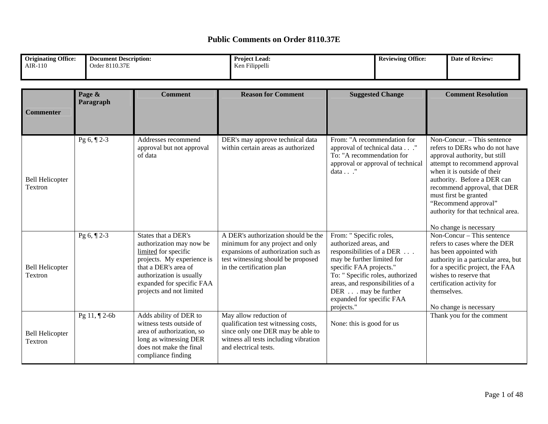| <b>Originating Office:</b> | Document Description: | <b>Project Lead:</b> | Office:<br><b>Reviewing</b> | Date of Review: |
|----------------------------|-----------------------|----------------------|-----------------------------|-----------------|
| <b>AIR-110</b>             | Order 8110.37E        | Ken Filippelli       |                             |                 |
|                            |                       |                      |                             |                 |

| <b>Commenter</b>                  | Page &<br>Paragraph | <b>Comment</b>                                                                                                                                                                                                     | <b>Reason for Comment</b>                                                                                                                                                         | <b>Suggested Change</b>                                                                                                                                                                                                                                                         | <b>Comment Resolution</b>                                                                                                                                                                                                                                                                                                                      |
|-----------------------------------|---------------------|--------------------------------------------------------------------------------------------------------------------------------------------------------------------------------------------------------------------|-----------------------------------------------------------------------------------------------------------------------------------------------------------------------------------|---------------------------------------------------------------------------------------------------------------------------------------------------------------------------------------------------------------------------------------------------------------------------------|------------------------------------------------------------------------------------------------------------------------------------------------------------------------------------------------------------------------------------------------------------------------------------------------------------------------------------------------|
| <b>Bell Helicopter</b><br>Textron | Pg $6, \P 2-3$      | Addresses recommend<br>approval but not approval<br>of data                                                                                                                                                        | DER's may approve technical data<br>within certain areas as authorized                                                                                                            | From: "A recommendation for<br>approval of technical data"<br>To: "A recommendation for<br>approval or approval of technical<br>data $\ldots$ ."                                                                                                                                | Non-Concur. – This sentence<br>refers to DERs who do not have<br>approval authority, but still<br>attempt to recommend approval<br>when it is outside of their<br>authority. Before a DER can<br>recommend approval, that DER<br>must first be granted<br>"Recommend approval"<br>authority for that technical area.<br>No change is necessary |
| <b>Bell Helicopter</b><br>Textron | Pg $6, \P 2-3$      | States that a DER's<br>authorization may now be<br>limited for specific<br>projects. My experience is<br>that a DER's area of<br>authorization is usually<br>expanded for specific FAA<br>projects and not limited | A DER's authorization should be the<br>minimum for any project and only<br>expansions of authorization such as<br>test witnessing should be proposed<br>in the certification plan | From: " Specific roles,<br>authorized areas, and<br>responsibilities of a DER<br>may be further limited for<br>specific FAA projects."<br>To: " Specific roles, authorized<br>areas, and responsibilities of a<br>DER may be further<br>expanded for specific FAA<br>projects." | Non-Concur – This sentence<br>refers to cases where the DER<br>has been appointed with<br>authority in a particular area, but<br>for a specific project, the FAA<br>wishes to reserve that<br>certification activity for<br>themselves.<br>No change is necessary                                                                              |
| <b>Bell Helicopter</b><br>Textron | Pg 11, ¶ 2-6b       | Adds ability of DER to<br>witness tests outside of<br>area of authorization, so<br>long as witnessing DER<br>does not make the final<br>compliance finding                                                         | May allow reduction of<br>qualification test witnessing costs,<br>since only one DER may be able to<br>witness all tests including vibration<br>and electrical tests.             | None: this is good for us                                                                                                                                                                                                                                                       | Thank you for the comment                                                                                                                                                                                                                                                                                                                      |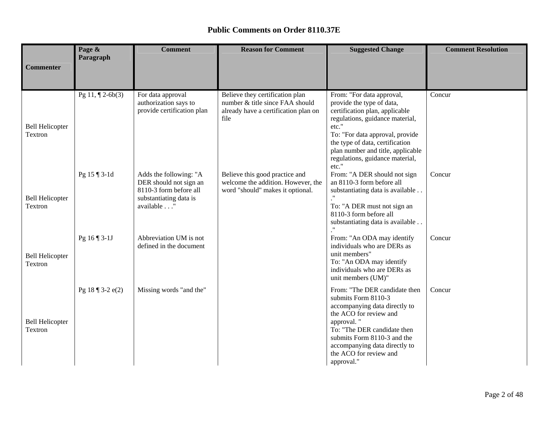|                                   | Page &<br>Paragraph      | <b>Comment</b>                                                                                                     | <b>Reason for Comment</b>                                                                                          | <b>Suggested Change</b>                                                                                                                                                                                                                                                                     | <b>Comment Resolution</b> |
|-----------------------------------|--------------------------|--------------------------------------------------------------------------------------------------------------------|--------------------------------------------------------------------------------------------------------------------|---------------------------------------------------------------------------------------------------------------------------------------------------------------------------------------------------------------------------------------------------------------------------------------------|---------------------------|
| <b>Commenter</b>                  |                          |                                                                                                                    |                                                                                                                    |                                                                                                                                                                                                                                                                                             |                           |
| <b>Bell Helicopter</b><br>Textron | Pg 11, $\P$ 2-6b(3)      | For data approval<br>authorization says to<br>provide certification plan                                           | Believe they certification plan<br>number & title since FAA should<br>already have a certification plan on<br>file | From: "For data approval,<br>provide the type of data,<br>certification plan, applicable<br>regulations, guidance material,<br>etc."<br>To: "For data approval, provide<br>the type of data, certification<br>plan number and title, applicable<br>regulations, guidance material,<br>etc." | Concur                    |
| <b>Bell Helicopter</b><br>Textron | Pg 15 ¶ 3-1d             | Adds the following: "A<br>DER should not sign an<br>8110-3 form before all<br>substantiating data is<br>available" | Believe this good practice and<br>welcome the addition. However, the<br>word "should" makes it optional.           | From: "A DER should not sign<br>an 8110-3 form before all<br>substantiating data is available<br>To: "A DER must not sign an<br>8110-3 form before all<br>substantiating data is available.                                                                                                 | Concur                    |
| <b>Bell Helicopter</b><br>Textron | Pg 16 ¶ 3-1J             | Abbreviation UM is not<br>defined in the document                                                                  |                                                                                                                    | From: "An ODA may identify<br>individuals who are DERs as<br>unit members"<br>To: "An ODA may identify<br>individuals who are DERs as<br>unit members (UM)"                                                                                                                                 | Concur                    |
| <b>Bell Helicopter</b><br>Textron | Pg $18 \sqrt{3} - 2e(2)$ | Missing words "and the"                                                                                            |                                                                                                                    | From: "The DER candidate then<br>submits Form 8110-3<br>accompanying data directly to<br>the ACO for review and<br>approval."<br>To: "The DER candidate then<br>submits Form 8110-3 and the<br>accompanying data directly to<br>the ACO for review and<br>approval."                        | Concur                    |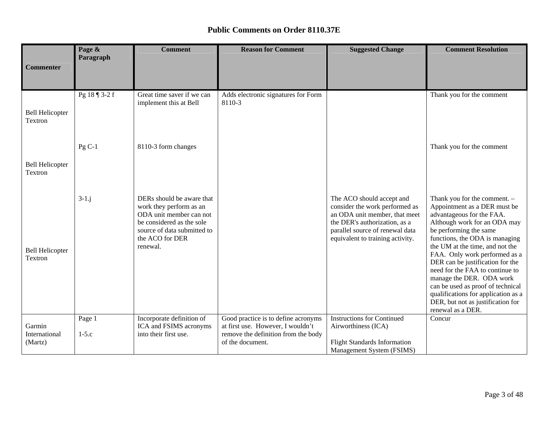|                                    | Page &<br>Paragraph | <b>Comment</b>                                                                                                                                                             | <b>Reason for Comment</b>                                                                                                           | <b>Suggested Change</b>                                                                                                                                                                              | <b>Comment Resolution</b>                                                                                                                                                                                                                                                                                                                                                                                                                                                                          |
|------------------------------------|---------------------|----------------------------------------------------------------------------------------------------------------------------------------------------------------------------|-------------------------------------------------------------------------------------------------------------------------------------|------------------------------------------------------------------------------------------------------------------------------------------------------------------------------------------------------|----------------------------------------------------------------------------------------------------------------------------------------------------------------------------------------------------------------------------------------------------------------------------------------------------------------------------------------------------------------------------------------------------------------------------------------------------------------------------------------------------|
| <b>Commenter</b>                   |                     |                                                                                                                                                                            |                                                                                                                                     |                                                                                                                                                                                                      |                                                                                                                                                                                                                                                                                                                                                                                                                                                                                                    |
| <b>Bell Helicopter</b><br>Textron  | Pg 18 ¶ 3-2 f       | Great time saver if we can<br>implement this at Bell                                                                                                                       | Adds electronic signatures for Form<br>8110-3                                                                                       |                                                                                                                                                                                                      | Thank you for the comment                                                                                                                                                                                                                                                                                                                                                                                                                                                                          |
| <b>Bell Helicopter</b><br>Textron  | $Pg C-1$            | 8110-3 form changes                                                                                                                                                        |                                                                                                                                     |                                                                                                                                                                                                      | Thank you for the comment                                                                                                                                                                                                                                                                                                                                                                                                                                                                          |
| <b>Bell Helicopter</b><br>Textron  | $3-1$ .j            | DERs should be aware that<br>work they perform as an<br>ODA unit member can not<br>be considered as the sole<br>source of data submitted to<br>the ACO for DER<br>renewal. |                                                                                                                                     | The ACO should accept and<br>consider the work performed as<br>an ODA unit member, that meet<br>the DER's authorization, as a<br>parallel source of renewal data<br>equivalent to training activity. | Thank you for the comment. -<br>Appointment as a DER must be<br>advantageous for the FAA.<br>Although work for an ODA may<br>be performing the same<br>functions, the ODA is managing<br>the UM at the time, and not the<br>FAA. Only work performed as a<br>DER can be justification for the<br>need for the FAA to continue to<br>manage the DER. ODA work<br>can be used as proof of technical<br>qualifications for application as a<br>DER, but not as justification for<br>renewal as a DER. |
| Garmin<br>International<br>(Martz) | Page 1<br>$1-5.c$   | Incorporate definition of<br>ICA and FSIMS acronyms<br>into their first use.                                                                                               | Good practice is to define acronyms<br>at first use. However, I wouldn't<br>remove the definition from the body<br>of the document. | <b>Instructions for Continued</b><br>Airworthiness (ICA)<br><b>Flight Standards Information</b><br>Management System (FSIMS)                                                                         | Concur                                                                                                                                                                                                                                                                                                                                                                                                                                                                                             |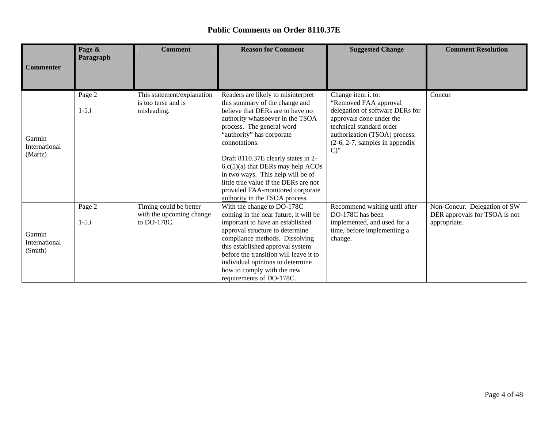|                                    | Page &              | <b>Comment</b>                                                    | <b>Reason for Comment</b>                                                                                                                                                                                                                                                                                                                                                                                                                                 | <b>Suggested Change</b>                                                                                                                                                                                              | <b>Comment Resolution</b>                                                     |
|------------------------------------|---------------------|-------------------------------------------------------------------|-----------------------------------------------------------------------------------------------------------------------------------------------------------------------------------------------------------------------------------------------------------------------------------------------------------------------------------------------------------------------------------------------------------------------------------------------------------|----------------------------------------------------------------------------------------------------------------------------------------------------------------------------------------------------------------------|-------------------------------------------------------------------------------|
| <b>Commenter</b>                   | Paragraph           |                                                                   |                                                                                                                                                                                                                                                                                                                                                                                                                                                           |                                                                                                                                                                                                                      |                                                                               |
| Garmin<br>International<br>(Martz) | Page 2<br>$1 - 5.i$ | This statement/explanation<br>is too terse and is<br>misleading.  | Readers are likely to misinterpret<br>this summary of the change and<br>believe that DERs are to have no<br>authority whatsoever in the TSOA<br>process. The general word<br>"authority" has corporate<br>connotations.<br>Draft 8110.37E clearly states in 2-<br>$6.c(5)(a)$ that DERs may help ACOs<br>in two ways. This help will be of<br>little true value if the DERs are not<br>provided FAA-monitored corporate<br>authority in the TSOA process. | Change item i. to:<br>"Removed FAA approval<br>delegation of software DERs for<br>approvals done under the<br>technical standard order<br>authorization (TSOA) process.<br>$(2-6, 2-7,$ samples in appendix<br>$C$ " | Concur                                                                        |
| Garmin<br>International<br>(Smith) | Page 2<br>$1 - 5.1$ | Timing could be better<br>with the upcoming change<br>to DO-178C. | With the change to DO-178C<br>coming in the near future, it will be<br>important to have an established<br>approval structure to determine<br>compliance methods. Dissolving<br>this established approval system<br>before the transition will leave it to<br>individual opinions to determine<br>how to comply with the new<br>requirements of DO-178C.                                                                                                  | Recommend waiting until after<br>DO-178C has been<br>implemented, and used for a<br>time, before implementing a<br>change.                                                                                           | Non-Concur. Delegation of SW<br>DER approvals for TSOA is not<br>appropriate. |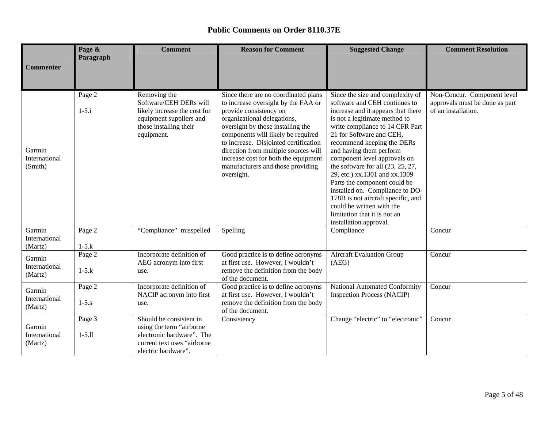| <b>Commenter</b>                   | Page &<br>Paragraph  | <b>Comment</b>                                                                                                                            | <b>Reason for Comment</b>                                                                                                                                                                                                                                                                                                                                                                   | <b>Suggested Change</b>                                                                                                                                                                                                                                                                                                                                                                                                                                                                                                                                                  | <b>Comment Resolution</b>                                                            |
|------------------------------------|----------------------|-------------------------------------------------------------------------------------------------------------------------------------------|---------------------------------------------------------------------------------------------------------------------------------------------------------------------------------------------------------------------------------------------------------------------------------------------------------------------------------------------------------------------------------------------|--------------------------------------------------------------------------------------------------------------------------------------------------------------------------------------------------------------------------------------------------------------------------------------------------------------------------------------------------------------------------------------------------------------------------------------------------------------------------------------------------------------------------------------------------------------------------|--------------------------------------------------------------------------------------|
|                                    |                      |                                                                                                                                           |                                                                                                                                                                                                                                                                                                                                                                                             |                                                                                                                                                                                                                                                                                                                                                                                                                                                                                                                                                                          |                                                                                      |
| Garmin<br>International<br>(Smith) | Page 2<br>$1 - 5.i$  | Removing the<br>Software/CEH DERs will<br>likely increase the cost for<br>equipment suppliers and<br>those installing their<br>equipment. | Since there are no coordinated plans<br>to increase oversight by the FAA or<br>provide consistency on<br>organizational delegations,<br>oversight by those installing the<br>components will likely be required<br>to increase. Disjointed certification<br>direction from multiple sources will<br>increase cost for both the equipment<br>manufacturers and those providing<br>oversight. | Since the size and complexity of<br>software and CEH continues to<br>increase and it appears that there<br>is not a legitimate method to<br>write compliance to 14 CFR Part<br>21 for Software and CEH,<br>recommend keeping the DERs<br>and having them perform<br>component level approvals on<br>the software for all $(23, 25, 27,$<br>29, etc.) xx.1301 and xx.1309<br>Parts the component could be<br>installed on. Compliance to DO-<br>178B is not aircraft specific, and<br>could be written with the<br>limitation that it is not an<br>installation approval. | Non-Concur. Component level<br>approvals must be done as part<br>of an installation. |
| Garmin<br>International<br>(Martz) | Page 2<br>$1-5.k$    | "Compliance" misspelled                                                                                                                   | Spelling                                                                                                                                                                                                                                                                                                                                                                                    | Compliance                                                                                                                                                                                                                                                                                                                                                                                                                                                                                                                                                               | Concur                                                                               |
| Garmin<br>International<br>(Martz) | Page 2<br>$1-5.k$    | Incorporate definition of<br>AEG acronym into first<br>use.                                                                               | Good practice is to define acronyms<br>at first use. However, I wouldn't<br>remove the definition from the body<br>of the document.                                                                                                                                                                                                                                                         | <b>Aircraft Evaluation Group</b><br>(AEG)                                                                                                                                                                                                                                                                                                                                                                                                                                                                                                                                | Concur                                                                               |
| Garmin<br>International<br>(Martz) | Page 2<br>$1 - 5. s$ | Incorporate definition of<br>NACIP acronym into first<br>use.                                                                             | Good practice is to define acronyms<br>at first use. However, I wouldn't<br>remove the definition from the body<br>of the document.                                                                                                                                                                                                                                                         | National Automated Conformity<br><b>Inspection Process (NACIP)</b>                                                                                                                                                                                                                                                                                                                                                                                                                                                                                                       | Concur                                                                               |
| Garmin<br>International<br>(Martz) | Page 3<br>$1 - 5.11$ | Should be consistent in<br>using the term "airborne<br>electronic hardware". The<br>current text uses "airborne<br>electric hardware".    | Consistency                                                                                                                                                                                                                                                                                                                                                                                 | Change "electric" to "electronic"                                                                                                                                                                                                                                                                                                                                                                                                                                                                                                                                        | Concur                                                                               |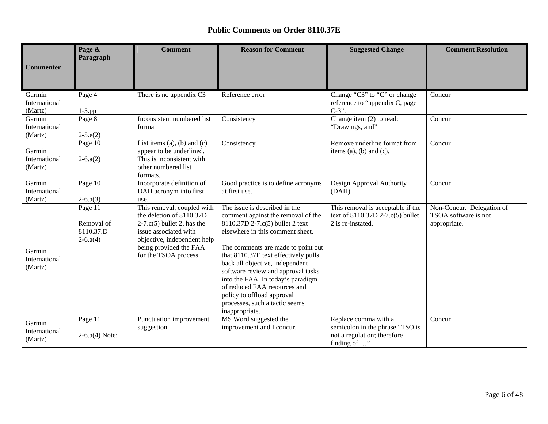| <b>Commenter</b>                   | Page &<br>Paragraph                                 | <b>Comment</b>                                                                                                                                                                                           | <b>Reason for Comment</b>                                                                                                                                                                                                                                                                                                                                                                                                                                | <b>Suggested Change</b>                                                                                | <b>Comment Resolution</b>                                         |
|------------------------------------|-----------------------------------------------------|----------------------------------------------------------------------------------------------------------------------------------------------------------------------------------------------------------|----------------------------------------------------------------------------------------------------------------------------------------------------------------------------------------------------------------------------------------------------------------------------------------------------------------------------------------------------------------------------------------------------------------------------------------------------------|--------------------------------------------------------------------------------------------------------|-------------------------------------------------------------------|
|                                    |                                                     |                                                                                                                                                                                                          |                                                                                                                                                                                                                                                                                                                                                                                                                                                          |                                                                                                        |                                                                   |
| Garmin<br>International<br>(Martz) | Page 4<br>$1-5$ .pp                                 | There is no appendix C3                                                                                                                                                                                  | Reference error                                                                                                                                                                                                                                                                                                                                                                                                                                          | Change "C3" to "C" or change<br>reference to "appendix C, page<br>$C-3$ ".                             | Concur                                                            |
| Garmin<br>International<br>(Martz) | Page 8<br>$2-5.e(2)$                                | Inconsistent numbered list<br>format                                                                                                                                                                     | Consistency                                                                                                                                                                                                                                                                                                                                                                                                                                              | Change item (2) to read:<br>"Drawings, and"                                                            | Concur                                                            |
| Garmin<br>International<br>(Martz) | Page 10<br>$2-6.a(2)$                               | List items $(a)$ , $(b)$ and $(c)$<br>appear to be underlined.<br>This is inconsistent with<br>other numbered list<br>formats.                                                                           | Consistency                                                                                                                                                                                                                                                                                                                                                                                                                                              | Remove underline format from<br>items $(a)$ , $(b)$ and $(c)$ .                                        | Concur                                                            |
| Garmin<br>International<br>(Martz) | Page 10<br>$2-6.a(3)$                               | Incorporate definition of<br>DAH acronym into first<br>use.                                                                                                                                              | Good practice is to define acronyms<br>at first use.                                                                                                                                                                                                                                                                                                                                                                                                     | Design Approval Authority<br>(DAH)                                                                     | Concur                                                            |
| Garmin<br>International<br>(Martz) | Page 11<br>Removal of<br>8110.37.D<br>$2 - 6. a(4)$ | This removal, coupled with<br>the deletion of 8110.37D<br>$2-7.\text{c}(5)$ bullet 2, has the<br>issue associated with<br>objective, independent help<br>being provided the FAA<br>for the TSOA process. | The issue is described in the<br>comment against the removal of the<br>8110.37D 2-7.c(5) bullet 2 text<br>elsewhere in this comment sheet.<br>The comments are made to point out<br>that 8110.37E text effectively pulls<br>back all objective, independent<br>software review and approval tasks<br>into the FAA. In today's paradigm<br>of reduced FAA resources and<br>policy to offload approval<br>processes, such a tactic seems<br>inappropriate. | This removal is acceptable if the<br>text of 8110.37D 2-7.c(5) bullet<br>2 is re-instated.             | Non-Concur. Delegation of<br>TSOA software is not<br>appropriate. |
| Garmin<br>International<br>(Martz) | Page 11<br>$2-6.a(4)$ Note:                         | Punctuation improvement<br>suggestion.                                                                                                                                                                   | MS Word suggested the<br>improvement and I concur.                                                                                                                                                                                                                                                                                                                                                                                                       | Replace comma with a<br>semicolon in the phrase "TSO is<br>not a regulation; therefore<br>finding of " | Concur                                                            |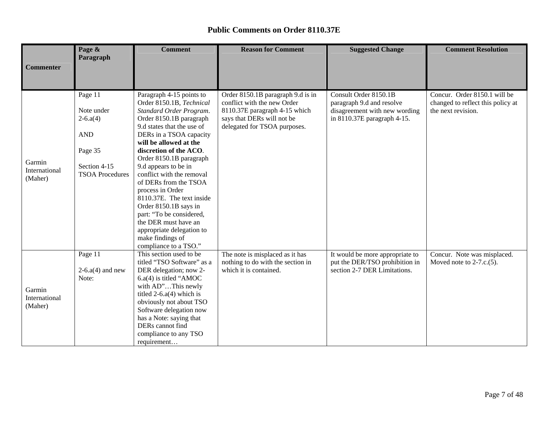|                  | Page &                 | <b>Comment</b>                                        | <b>Reason for Comment</b>                                            | <b>Suggested Change</b>                                           | <b>Comment Resolution</b>                                  |
|------------------|------------------------|-------------------------------------------------------|----------------------------------------------------------------------|-------------------------------------------------------------------|------------------------------------------------------------|
|                  | Paragraph              |                                                       |                                                                      |                                                                   |                                                            |
| <b>Commenter</b> |                        |                                                       |                                                                      |                                                                   |                                                            |
|                  |                        |                                                       |                                                                      |                                                                   |                                                            |
|                  | Page 11                | Paragraph 4-15 points to                              | Order 8150.1B paragraph 9.d is in                                    | Consult Order 8150.1B                                             | Concur. Order 8150.1 will be                               |
|                  |                        | Order 8150.1B, Technical                              | conflict with the new Order                                          | paragraph 9.d and resolve                                         | changed to reflect this policy at                          |
|                  | Note under             | Standard Order Program.                               | 8110.37E paragraph 4-15 which                                        | disagreement with new wording                                     | the next revision.                                         |
|                  | $2-6.a(4)$             | Order 8150.1B paragraph<br>9.d states that the use of | says that DERs will not be                                           | in 8110.37E paragraph 4-15.                                       |                                                            |
|                  | <b>AND</b>             | DERs in a TSOA capacity                               | delegated for TSOA purposes.                                         |                                                                   |                                                            |
|                  |                        | will be allowed at the                                |                                                                      |                                                                   |                                                            |
|                  | Page 35                | discretion of the ACO.                                |                                                                      |                                                                   |                                                            |
|                  |                        | Order 8150.1B paragraph                               |                                                                      |                                                                   |                                                            |
| Garmin           | Section 4-15           | 9.d appears to be in                                  |                                                                      |                                                                   |                                                            |
| International    | <b>TSOA Procedures</b> | conflict with the removal                             |                                                                      |                                                                   |                                                            |
| (Maher)          |                        | of DERs from the TSOA                                 |                                                                      |                                                                   |                                                            |
|                  |                        | process in Order                                      |                                                                      |                                                                   |                                                            |
|                  |                        | 8110.37E. The text inside                             |                                                                      |                                                                   |                                                            |
|                  |                        | Order 8150.1B says in                                 |                                                                      |                                                                   |                                                            |
|                  |                        | part: "To be considered,                              |                                                                      |                                                                   |                                                            |
|                  |                        | the DER must have an                                  |                                                                      |                                                                   |                                                            |
|                  |                        | appropriate delegation to                             |                                                                      |                                                                   |                                                            |
|                  |                        | make findings of                                      |                                                                      |                                                                   |                                                            |
|                  |                        | compliance to a TSO."<br>This section used to be      |                                                                      |                                                                   |                                                            |
|                  | Page 11                | titled "TSO Software" as a                            | The note is misplaced as it has<br>nothing to do with the section in | It would be more appropriate to<br>put the DER/TSO prohibition in | Concur. Note was misplaced.<br>Moved note to $2-7.c.(5)$ . |
|                  | $2-6.a(4)$ and new     | DER delegation; now 2-                                | which it is contained.                                               | section 2-7 DER Limitations.                                      |                                                            |
|                  | Note:                  | $6.a(4)$ is titled "AMOC                              |                                                                      |                                                                   |                                                            |
|                  |                        | with AD"This newly                                    |                                                                      |                                                                   |                                                            |
| Garmin           |                        | titled $2-6.a(4)$ which is                            |                                                                      |                                                                   |                                                            |
| International    |                        | obviously not about TSO                               |                                                                      |                                                                   |                                                            |
| (Maher)          |                        | Software delegation now                               |                                                                      |                                                                   |                                                            |
|                  |                        | has a Note: saying that                               |                                                                      |                                                                   |                                                            |
|                  |                        | DERs cannot find                                      |                                                                      |                                                                   |                                                            |
|                  |                        | compliance to any TSO                                 |                                                                      |                                                                   |                                                            |
|                  |                        | requirement                                           |                                                                      |                                                                   |                                                            |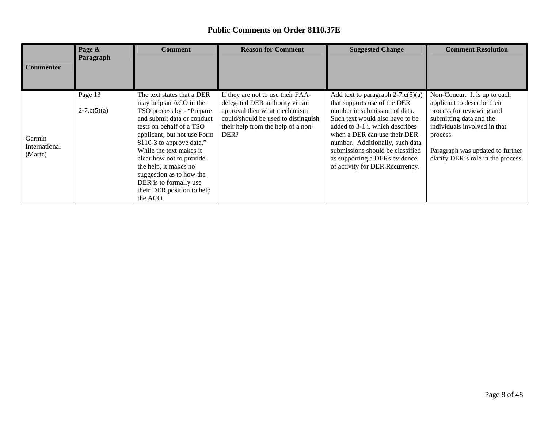| <b>Commenter</b>                   | Page &<br>Paragraph              | <b>Comment</b>                                                                                                                                                                                                                                                                                                                                                                          | <b>Reason for Comment</b>                                                                                                                                                                | <b>Suggested Change</b>                                                                                                                                                                                                                                                                                                                                 | <b>Comment Resolution</b>                                                                                                                                                                                                                 |
|------------------------------------|----------------------------------|-----------------------------------------------------------------------------------------------------------------------------------------------------------------------------------------------------------------------------------------------------------------------------------------------------------------------------------------------------------------------------------------|------------------------------------------------------------------------------------------------------------------------------------------------------------------------------------------|---------------------------------------------------------------------------------------------------------------------------------------------------------------------------------------------------------------------------------------------------------------------------------------------------------------------------------------------------------|-------------------------------------------------------------------------------------------------------------------------------------------------------------------------------------------------------------------------------------------|
| Garmin<br>International<br>(Martz) | Page 13<br>$2 - 7 \cdot c(5)(a)$ | The text states that a DER<br>may help an ACO in the<br>TSO process by - "Prepare"<br>and submit data or conduct<br>tests on behalf of a TSO<br>applicant, but not use Form<br>8110-3 to approve data."<br>While the text makes it<br>clear how not to provide<br>the help, it makes no<br>suggestion as to how the<br>DER is to formally use<br>their DER position to help<br>the ACO. | If they are not to use their FAA-<br>delegated DER authority via an<br>approval then what mechanism<br>could/should be used to distinguish<br>their help from the help of a non-<br>DER? | Add text to paragraph $2-7$ .c(5)(a)<br>that supports use of the DER<br>number in submission of data.<br>Such text would also have to be.<br>added to 3-1.i. which describes<br>when a DER can use their DER<br>number. Additionally, such data<br>submissions should be classified<br>as supporting a DERs evidence<br>of activity for DER Recurrency. | Non-Concur. It is up to each<br>applicant to describe their<br>process for reviewing and<br>submitting data and the<br>individuals involved in that<br>process.<br>Paragraph was updated to further<br>clarify DER's role in the process. |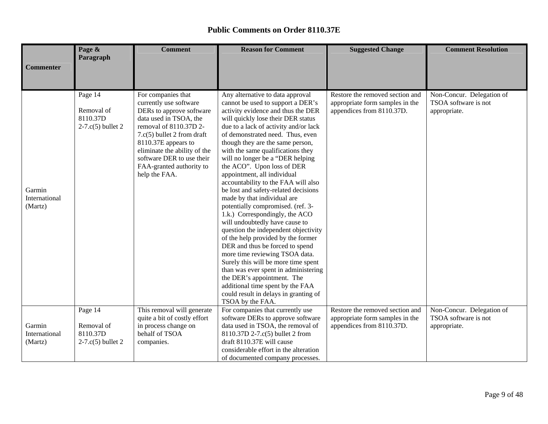|                                    | Page &                                                   | <b>Comment</b>                                                                                                                                                                                                                                                                                | <b>Reason for Comment</b>                                                                                                                                                                                                                                                                                                                                                                                                                                                                                                                                                                                                                                                                                                                                                                                                                                                                                                                                                                        | <b>Suggested Change</b>                                                                         | <b>Comment Resolution</b>                                         |
|------------------------------------|----------------------------------------------------------|-----------------------------------------------------------------------------------------------------------------------------------------------------------------------------------------------------------------------------------------------------------------------------------------------|--------------------------------------------------------------------------------------------------------------------------------------------------------------------------------------------------------------------------------------------------------------------------------------------------------------------------------------------------------------------------------------------------------------------------------------------------------------------------------------------------------------------------------------------------------------------------------------------------------------------------------------------------------------------------------------------------------------------------------------------------------------------------------------------------------------------------------------------------------------------------------------------------------------------------------------------------------------------------------------------------|-------------------------------------------------------------------------------------------------|-------------------------------------------------------------------|
| <b>Commenter</b>                   | Paragraph                                                |                                                                                                                                                                                                                                                                                               |                                                                                                                                                                                                                                                                                                                                                                                                                                                                                                                                                                                                                                                                                                                                                                                                                                                                                                                                                                                                  |                                                                                                 |                                                                   |
|                                    |                                                          |                                                                                                                                                                                                                                                                                               |                                                                                                                                                                                                                                                                                                                                                                                                                                                                                                                                                                                                                                                                                                                                                                                                                                                                                                                                                                                                  |                                                                                                 |                                                                   |
| Garmin<br>International<br>(Martz) | Page 14<br>Removal of<br>8110.37D<br>$2-7.c(5)$ bullet 2 | For companies that<br>currently use software<br>DERs to approve software<br>data used in TSOA, the<br>removal of 8110.37D 2-<br>$7.c(5)$ bullet 2 from draft<br>8110.37E appears to<br>eliminate the ability of the<br>software DER to use their<br>FAA-granted authority to<br>help the FAA. | Any alternative to data approval<br>cannot be used to support a DER's<br>activity evidence and thus the DER<br>will quickly lose their DER status<br>due to a lack of activity and/or lack<br>of demonstrated need. Thus, even<br>though they are the same person,<br>with the same qualifications they<br>will no longer be a "DER helping<br>the ACO". Upon loss of DER<br>appointment, all individual<br>accountability to the FAA will also<br>be lost and safety-related decisions<br>made by that individual are<br>potentially compromised. (ref. 3-<br>1.k.) Correspondingly, the ACO<br>will undoubtedly have cause to<br>question the independent objectivity<br>of the help provided by the former<br>DER and thus be forced to spend<br>more time reviewing TSOA data.<br>Surely this will be more time spent<br>than was ever spent in administering<br>the DER's appointment. The<br>additional time spent by the FAA<br>could result in delays in granting of<br>TSOA by the FAA. | Restore the removed section and<br>appropriate form samples in the<br>appendices from 8110.37D. | Non-Concur. Delegation of<br>TSOA software is not<br>appropriate. |
|                                    | Page 14                                                  | This removal will generate<br>quite a bit of costly effort                                                                                                                                                                                                                                    | For companies that currently use<br>software DERs to approve software                                                                                                                                                                                                                                                                                                                                                                                                                                                                                                                                                                                                                                                                                                                                                                                                                                                                                                                            | Restore the removed section and<br>appropriate form samples in the                              | Non-Concur. Delegation of<br>TSOA software is not                 |
| Garmin<br>International            | Removal of<br>8110.37D                                   | in process change on<br>behalf of TSOA                                                                                                                                                                                                                                                        | data used in TSOA, the removal of<br>8110.37D 2-7.c(5) bullet 2 from                                                                                                                                                                                                                                                                                                                                                                                                                                                                                                                                                                                                                                                                                                                                                                                                                                                                                                                             | appendices from 8110.37D.                                                                       | appropriate.                                                      |
| (Martz)                            | $2-7.c(5)$ bullet 2                                      | companies.                                                                                                                                                                                                                                                                                    | draft 8110.37E will cause                                                                                                                                                                                                                                                                                                                                                                                                                                                                                                                                                                                                                                                                                                                                                                                                                                                                                                                                                                        |                                                                                                 |                                                                   |
|                                    |                                                          |                                                                                                                                                                                                                                                                                               | considerable effort in the alteration                                                                                                                                                                                                                                                                                                                                                                                                                                                                                                                                                                                                                                                                                                                                                                                                                                                                                                                                                            |                                                                                                 |                                                                   |
|                                    |                                                          |                                                                                                                                                                                                                                                                                               | of documented company processes.                                                                                                                                                                                                                                                                                                                                                                                                                                                                                                                                                                                                                                                                                                                                                                                                                                                                                                                                                                 |                                                                                                 |                                                                   |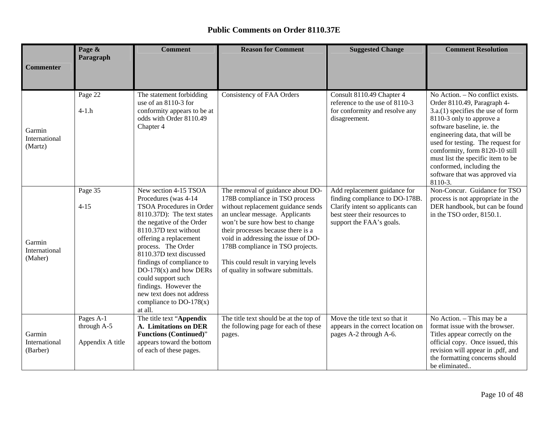|                                     | Page &<br>Paragraph                          | <b>Comment</b>                                                                                                                                                                                                                                                                                                                                                                                                         | <b>Reason for Comment</b>                                                                                                                                                                                                                                                                                                                                                     | <b>Suggested Change</b>                                                                                                                                        | <b>Comment Resolution</b>                                                                                                                                                                                                                                                                                                                                                               |
|-------------------------------------|----------------------------------------------|------------------------------------------------------------------------------------------------------------------------------------------------------------------------------------------------------------------------------------------------------------------------------------------------------------------------------------------------------------------------------------------------------------------------|-------------------------------------------------------------------------------------------------------------------------------------------------------------------------------------------------------------------------------------------------------------------------------------------------------------------------------------------------------------------------------|----------------------------------------------------------------------------------------------------------------------------------------------------------------|-----------------------------------------------------------------------------------------------------------------------------------------------------------------------------------------------------------------------------------------------------------------------------------------------------------------------------------------------------------------------------------------|
| <b>Commenter</b>                    |                                              |                                                                                                                                                                                                                                                                                                                                                                                                                        |                                                                                                                                                                                                                                                                                                                                                                               |                                                                                                                                                                |                                                                                                                                                                                                                                                                                                                                                                                         |
| Garmin<br>International<br>(Martz)  | Page 22<br>$4-1.h$                           | The statement forbidding<br>use of an 8110-3 for<br>conformity appears to be at<br>odds with Order 8110.49<br>Chapter 4                                                                                                                                                                                                                                                                                                | <b>Consistency of FAA Orders</b>                                                                                                                                                                                                                                                                                                                                              | Consult 8110.49 Chapter 4<br>reference to the use of 8110-3<br>for conformity and resolve any<br>disagreement.                                                 | No Action. - No conflict exists.<br>Order 8110.49, Paragraph 4-<br>$3.a.(1)$ specifies the use of form<br>8110-3 only to approve a<br>software baseline, ie. the<br>engineering data, that will be<br>used for testing. The request for<br>comformity, form 8120-10 still<br>must list the specific item to be<br>conformed, including the<br>software that was approved via<br>8110-3. |
| Garmin<br>International<br>(Maher)  | Page 35<br>$4 - 15$                          | New section 4-15 TSOA<br>Procedures (was 4-14<br>TSOA Procedures in Order<br>8110.37D): The text states<br>the negative of the Order<br>8110.37D text without<br>offering a replacement<br>process. The Order<br>8110.37D text discussed<br>findings of compliance to<br>DO-178 $(x)$ and how DERs<br>could support such<br>findings. However the<br>new text does not address<br>compliance to $DO-178(x)$<br>at all. | The removal of guidance about DO-<br>178B compliance in TSO process<br>without replacement guidance sends<br>an unclear message. Applicants<br>won't be sure how best to change<br>their processes because there is a<br>void in addressing the issue of DO-<br>178B compliance in TSO projects.<br>This could result in varying levels<br>of quality in software submittals. | Add replacement guidance for<br>finding compliance to DO-178B<br>Clarify intent so applicants can<br>best steer their resources to<br>support the FAA's goals. | Non-Concur. Guidance for TSO<br>process is not appropriate in the<br>DER handbook, but can be found<br>in the TSO order, 8150.1.                                                                                                                                                                                                                                                        |
| Garmin<br>International<br>(Barber) | Pages A-1<br>through A-5<br>Appendix A title | The title text "Appendix<br>A. Limitations on DER<br><b>Functions (Continued)"</b><br>appears toward the bottom<br>of each of these pages.                                                                                                                                                                                                                                                                             | The title text should be at the top of<br>the following page for each of these<br>pages.                                                                                                                                                                                                                                                                                      | Move the title text so that it<br>appears in the correct location on<br>pages A-2 through A-6.                                                                 | No Action. - This may be a<br>format issue with the browser.<br>Titles appear correctly on the<br>official copy. Once issued, this<br>revision will appear in .pdf, and<br>the formatting concerns should<br>be eliminated                                                                                                                                                              |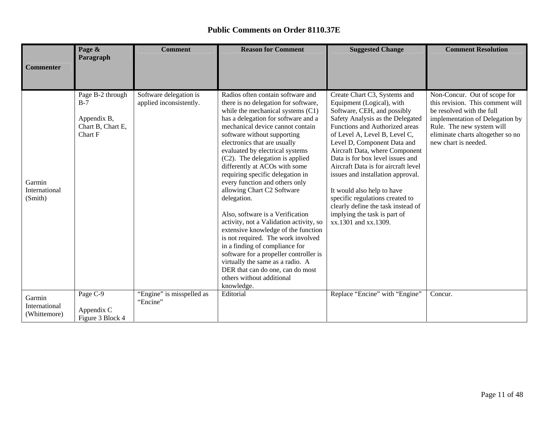|                                         | Page &<br>Paragraph                                                      | <b>Comment</b>                                    | <b>Reason for Comment</b>                                                                                                                                                                                                                                                                                                                                                                                                                                                                                                                                                                                                                                                                                                                                                                                                                     | <b>Suggested Change</b>                                                                                                                                                                                                                                                                                                                                                                                                                                                                                                                         | <b>Comment Resolution</b>                                                                                                                                                                                                  |
|-----------------------------------------|--------------------------------------------------------------------------|---------------------------------------------------|-----------------------------------------------------------------------------------------------------------------------------------------------------------------------------------------------------------------------------------------------------------------------------------------------------------------------------------------------------------------------------------------------------------------------------------------------------------------------------------------------------------------------------------------------------------------------------------------------------------------------------------------------------------------------------------------------------------------------------------------------------------------------------------------------------------------------------------------------|-------------------------------------------------------------------------------------------------------------------------------------------------------------------------------------------------------------------------------------------------------------------------------------------------------------------------------------------------------------------------------------------------------------------------------------------------------------------------------------------------------------------------------------------------|----------------------------------------------------------------------------------------------------------------------------------------------------------------------------------------------------------------------------|
| <b>Commenter</b>                        |                                                                          |                                                   |                                                                                                                                                                                                                                                                                                                                                                                                                                                                                                                                                                                                                                                                                                                                                                                                                                               |                                                                                                                                                                                                                                                                                                                                                                                                                                                                                                                                                 |                                                                                                                                                                                                                            |
| Garmin<br>International<br>(Smith)      | Page B-2 through<br>$B-7$<br>Appendix B,<br>Chart B, Chart E,<br>Chart F | Software delegation is<br>applied inconsistently. | Radios often contain software and<br>there is no delegation for software,<br>while the mechanical systems (C1)<br>has a delegation for software and a<br>mechanical device cannot contain<br>software without supporting<br>electronics that are usually<br>evaluated by electrical systems<br>(C2). The delegation is applied<br>differently at ACOs with some<br>requiring specific delegation in<br>every function and others only<br>allowing Chart C2 Software<br>delegation.<br>Also, software is a Verification<br>activity, not a Validation activity, so<br>extensive knowledge of the function<br>is not required. The work involved<br>in a finding of compliance for<br>software for a propeller controller is<br>virtually the same as a radio. A<br>DER that can do one, can do most<br>others without additional<br>knowledge. | Create Chart C3, Systems and<br>Equipment (Logical), with<br>Software, CEH, and possibly<br>Safety Analysis as the Delegated<br>Functions and Authorized areas<br>of Level A, Level B, Level C,<br>Level D, Component Data and<br>Aircraft Data, where Component<br>Data is for box level issues and<br>Aircraft Data is for aircraft level<br>issues and installation approval.<br>It would also help to have<br>specific regulations created to<br>clearly define the task instead of<br>implying the task is part of<br>xx.1301 and xx.1309. | Non-Concur. Out of scope for<br>this revision. This comment will<br>be resolved with the full<br>implementation of Delegation by<br>Rule. The new system will<br>eliminate charts altogether so no<br>new chart is needed. |
| Garmin<br>International<br>(Whittemore) | Page C-9<br>Appendix C<br>Figure 3 Block 4                               | "Engine" is misspelled as<br>"Encine"             | Editorial                                                                                                                                                                                                                                                                                                                                                                                                                                                                                                                                                                                                                                                                                                                                                                                                                                     | Replace "Encine" with "Engine"                                                                                                                                                                                                                                                                                                                                                                                                                                                                                                                  | Concur.                                                                                                                                                                                                                    |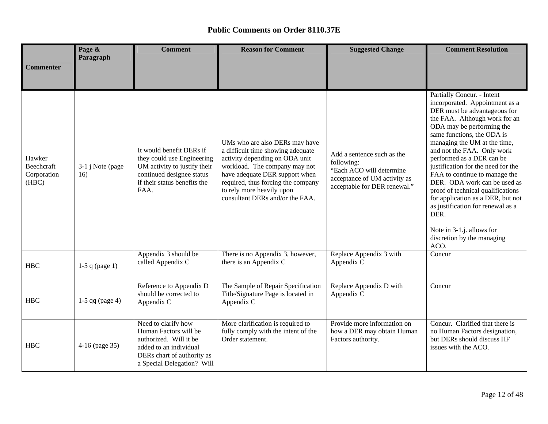|                                              | Page &<br>Paragraph      | <b>Comment</b>                                                                                                                                               | <b>Reason for Comment</b>                                                                                                                                                                                                                                                      | <b>Suggested Change</b>                                                                                                              | <b>Comment Resolution</b>                                                                                                                                                                                                                                                                                                                                                                                                                                                                                                                                                            |
|----------------------------------------------|--------------------------|--------------------------------------------------------------------------------------------------------------------------------------------------------------|--------------------------------------------------------------------------------------------------------------------------------------------------------------------------------------------------------------------------------------------------------------------------------|--------------------------------------------------------------------------------------------------------------------------------------|--------------------------------------------------------------------------------------------------------------------------------------------------------------------------------------------------------------------------------------------------------------------------------------------------------------------------------------------------------------------------------------------------------------------------------------------------------------------------------------------------------------------------------------------------------------------------------------|
| Commenter                                    |                          |                                                                                                                                                              |                                                                                                                                                                                                                                                                                |                                                                                                                                      |                                                                                                                                                                                                                                                                                                                                                                                                                                                                                                                                                                                      |
| Hawker<br>Beechcraft<br>Corporation<br>(HBC) | 3-1 j Note (page)<br>16) | It would benefit DERs if<br>they could use Engineering<br>UM activity to justify their<br>continued designee status<br>if their status benefits the<br>FAA.  | UMs who are also DERs may have<br>a difficult time showing adequate<br>activity depending on ODA unit<br>workload. The company may not<br>have adequate DER support when<br>required, thus forcing the company<br>to rely more heavily upon<br>consultant DERs and/or the FAA. | Add a sentence such as the<br>following:<br>"Each ACO will determine<br>acceptance of UM activity as<br>acceptable for DER renewal." | Partially Concur. - Intent<br>incorporated. Appointment as a<br>DER must be advantageous for<br>the FAA. Although work for an<br>ODA may be performing the<br>same functions, the ODA is<br>managing the UM at the time,<br>and not the FAA. Only work<br>performed as a DER can be<br>justification for the need for the<br>FAA to continue to manage the<br>DER. ODA work can be used as<br>proof of technical qualifications<br>for application as a DER, but not<br>as justification for renewal as a<br>DER.<br>Note in 3-1.j. allows for<br>discretion by the managing<br>ACO. |
| <b>HBC</b>                                   | $1-5$ q (page 1)         | Appendix 3 should be<br>called Appendix C                                                                                                                    | There is no Appendix 3, however,<br>there is an Appendix C                                                                                                                                                                                                                     | Replace Appendix 3 with<br>Appendix C                                                                                                | Concur                                                                                                                                                                                                                                                                                                                                                                                                                                                                                                                                                                               |
| <b>HBC</b>                                   | $1-5$ qq (page 4)        | Reference to Appendix D<br>should be corrected to<br>Appendix C                                                                                              | The Sample of Repair Specification<br>Title/Signature Page is located in<br>Appendix C                                                                                                                                                                                         | Replace Appendix D with<br>Appendix C                                                                                                | Concur                                                                                                                                                                                                                                                                                                                                                                                                                                                                                                                                                                               |
| <b>HBC</b>                                   | 4-16 (page 35)           | Need to clarify how<br>Human Factors will be<br>authorized. Will it be<br>added to an individual<br>DERs chart of authority as<br>a Special Delegation? Will | More clarification is required to<br>fully comply with the intent of the<br>Order statement.                                                                                                                                                                                   | Provide more information on<br>how a DER may obtain Human<br>Factors authority.                                                      | Concur. Clarified that there is<br>no Human Factors designation,<br>but DERs should discuss HF<br>issues with the ACO.                                                                                                                                                                                                                                                                                                                                                                                                                                                               |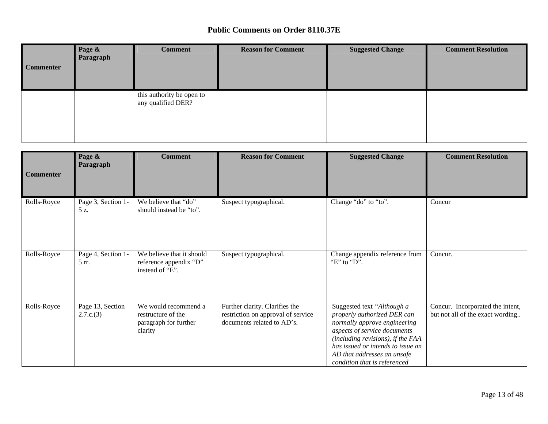| <b>Commenter</b> | Page &<br>Paragraph | <b>Comment</b>                                  | <b>Reason for Comment</b> | <b>Suggested Change</b> | <b>Comment Resolution</b> |
|------------------|---------------------|-------------------------------------------------|---------------------------|-------------------------|---------------------------|
|                  |                     | this authority be open to<br>any qualified DER? |                           |                         |                           |

| <b>Commenter</b> | Page &<br>Paragraph           | <b>Comment</b>                                                                 | <b>Reason for Comment</b>                                                                          | <b>Suggested Change</b>                                                                                                                                                                                                                                            | <b>Comment Resolution</b>                                            |
|------------------|-------------------------------|--------------------------------------------------------------------------------|----------------------------------------------------------------------------------------------------|--------------------------------------------------------------------------------------------------------------------------------------------------------------------------------------------------------------------------------------------------------------------|----------------------------------------------------------------------|
| Rolls-Royce      | Page 3, Section 1-<br>5 z.    | We believe that "do"<br>should instead be "to".                                | Suspect typographical.                                                                             | Change "do" to "to".                                                                                                                                                                                                                                               | Concur                                                               |
| Rolls-Royce      | Page 4, Section 1-<br>5 rr.   | We believe that it should<br>reference appendix "D"<br>instead of "E".         | Suspect typographical.                                                                             | Change appendix reference from<br>"E" to "D".                                                                                                                                                                                                                      | Concur.                                                              |
| Rolls-Royce      | Page 13, Section<br>2.7.c.(3) | We would recommend a<br>restructure of the<br>paragraph for further<br>clarity | Further clarity. Clarifies the<br>restriction on approval of service<br>documents related to AD's. | Suggested text "Although a<br>properly authorized DER can<br>normally approve engineering<br>aspects of service documents<br>(including revisions), if the FAA<br>has issued or intends to issue an<br>AD that addresses an unsafe<br>condition that is referenced | Concur. Incorporated the intent,<br>but not all of the exact wording |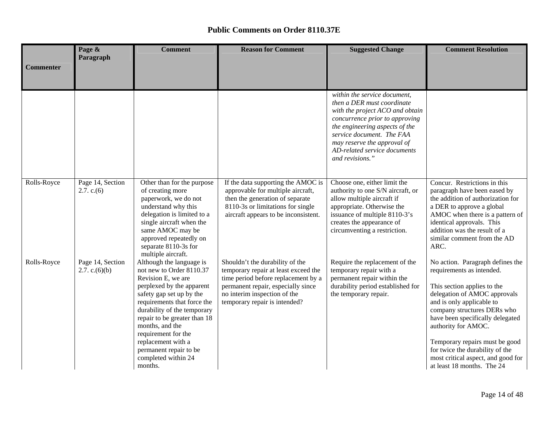|                  | Page &                               | <b>Comment</b>                                                                                                                                                                                                                                                                                                                                                | <b>Reason for Comment</b>                                                                                                                                                                                             | <b>Suggested Change</b>                                                                                                                                                                                                                                                          | <b>Comment Resolution</b>                                                                                                                                                                                                                                                                                                                                                                    |
|------------------|--------------------------------------|---------------------------------------------------------------------------------------------------------------------------------------------------------------------------------------------------------------------------------------------------------------------------------------------------------------------------------------------------------------|-----------------------------------------------------------------------------------------------------------------------------------------------------------------------------------------------------------------------|----------------------------------------------------------------------------------------------------------------------------------------------------------------------------------------------------------------------------------------------------------------------------------|----------------------------------------------------------------------------------------------------------------------------------------------------------------------------------------------------------------------------------------------------------------------------------------------------------------------------------------------------------------------------------------------|
| <b>Commenter</b> | Paragraph                            |                                                                                                                                                                                                                                                                                                                                                               |                                                                                                                                                                                                                       |                                                                                                                                                                                                                                                                                  |                                                                                                                                                                                                                                                                                                                                                                                              |
|                  |                                      |                                                                                                                                                                                                                                                                                                                                                               |                                                                                                                                                                                                                       |                                                                                                                                                                                                                                                                                  |                                                                                                                                                                                                                                                                                                                                                                                              |
|                  |                                      |                                                                                                                                                                                                                                                                                                                                                               |                                                                                                                                                                                                                       | within the service document,<br>then a DER must coordinate<br>with the project ACO and obtain<br>concurrence prior to approving<br>the engineering aspects of the<br>service document. The FAA<br>may reserve the approval of<br>AD-related service documents<br>and revisions." |                                                                                                                                                                                                                                                                                                                                                                                              |
| Rolls-Royce      | Page 14, Section<br>2.7. c.(6)       | Other than for the purpose<br>of creating more<br>paperwork, we do not<br>understand why this<br>delegation is limited to a<br>single aircraft when the<br>same AMOC may be<br>approved repeatedly on<br>separate 8110-3s for<br>multiple aircraft.                                                                                                           | If the data supporting the AMOC is<br>approvable for multiple aircraft,<br>then the generation of separate<br>8110-3s or limitations for single<br>aircraft appears to be inconsistent.                               | Choose one, either limit the<br>authority to one S/N aircraft, or<br>allow multiple aircraft if<br>appropriate. Otherwise the<br>issuance of multiple 8110-3's<br>creates the appearance of<br>circumventing a restriction.                                                      | Concur. Restrictions in this<br>paragraph have been eased by<br>the addition of authorization for<br>a DER to approve a global<br>AMOC when there is a pattern of<br>identical approvals. This<br>addition was the result of a<br>similar comment from the AD<br>ARC.                                                                                                                        |
| Rolls-Royce      | Page 14, Section<br>2.7. c. $(6)(b)$ | Although the language is<br>not new to Order 8110.37<br>Revision E, we are<br>perplexed by the apparent<br>safety gap set up by the<br>requirements that force the<br>durability of the temporary<br>repair to be greater than 18<br>months, and the<br>requirement for the<br>replacement with a<br>permanent repair to be<br>completed within 24<br>months. | Shouldn't the durability of the<br>temporary repair at least exceed the<br>time period before replacement by a<br>permanent repair, especially since<br>no interim inspection of the<br>temporary repair is intended? | Require the replacement of the<br>temporary repair with a<br>permanent repair within the<br>durability period established for<br>the temporary repair.                                                                                                                           | No action. Paragraph defines the<br>requirements as intended.<br>This section applies to the<br>delegation of AMOC approvals<br>and is only applicable to<br>company structures DERs who<br>have been specifically delegated<br>authority for AMOC.<br>Temporary repairs must be good<br>for twice the durability of the<br>most critical aspect, and good for<br>at least 18 months. The 24 |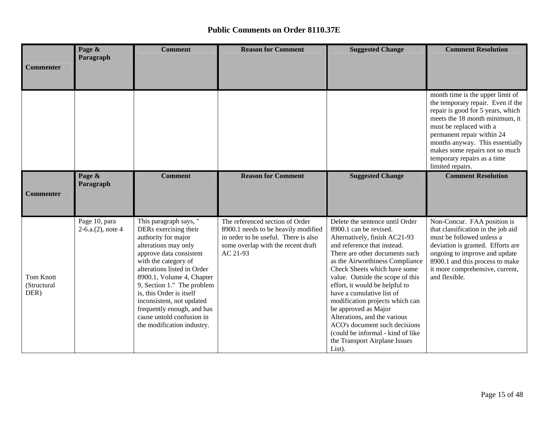|                                         | Page &<br>Paragraph                   | <b>Comment</b>                                                                                                                                                                                                                                                                                                                                                                                | <b>Reason for Comment</b>                                                                                                                                        | <b>Suggested Change</b>                                                                                                                                                                                                                                                                                                                                                                                                                                                                                                                       | <b>Comment Resolution</b>                                                                                                                                                                                                                                                                                                     |
|-----------------------------------------|---------------------------------------|-----------------------------------------------------------------------------------------------------------------------------------------------------------------------------------------------------------------------------------------------------------------------------------------------------------------------------------------------------------------------------------------------|------------------------------------------------------------------------------------------------------------------------------------------------------------------|-----------------------------------------------------------------------------------------------------------------------------------------------------------------------------------------------------------------------------------------------------------------------------------------------------------------------------------------------------------------------------------------------------------------------------------------------------------------------------------------------------------------------------------------------|-------------------------------------------------------------------------------------------------------------------------------------------------------------------------------------------------------------------------------------------------------------------------------------------------------------------------------|
| <b>Commenter</b>                        |                                       |                                                                                                                                                                                                                                                                                                                                                                                               |                                                                                                                                                                  |                                                                                                                                                                                                                                                                                                                                                                                                                                                                                                                                               |                                                                                                                                                                                                                                                                                                                               |
|                                         |                                       |                                                                                                                                                                                                                                                                                                                                                                                               |                                                                                                                                                                  |                                                                                                                                                                                                                                                                                                                                                                                                                                                                                                                                               | month time is the upper limit of<br>the temporary repair. Even if the<br>repair is good for 5 years, which<br>meets the 18 month minimum, it<br>must be replaced with a<br>permanent repair within 24<br>months anyway. This essentially<br>makes some repairs not so much<br>temporary repairs as a time<br>limited repairs. |
| Commenter                               | Page &<br>Paragraph                   | <b>Comment</b>                                                                                                                                                                                                                                                                                                                                                                                | <b>Reason for Comment</b>                                                                                                                                        | <b>Suggested Change</b>                                                                                                                                                                                                                                                                                                                                                                                                                                                                                                                       | <b>Comment Resolution</b>                                                                                                                                                                                                                                                                                                     |
| <b>Tom Knott</b><br>(Structural<br>DER) | Page 10, para<br>$2-6.a.(2)$ , note 4 | This paragraph says, "<br>DERs exercising their<br>authority for major<br>alterations may only<br>approve data consistent<br>with the category of<br>alterations listed in Order<br>8900.1, Volume 4, Chapter<br>9, Section 1." The problem<br>is, this Order is itself<br>inconsistent, not updated<br>frequently enough, and has<br>cause untold confusion in<br>the modification industry. | The referenced section of Order<br>8900.1 needs to be heavily modified<br>in order to be useful. There is also<br>some overlap with the recent draft<br>AC 21-93 | Delete the sentence until Order<br>8900.1 can be revised.<br>Alternatively, finish AC21-93<br>and reference that instead.<br>There are other documents such<br>as the Airworthiness Compliance<br>Check Sheets which have some<br>value. Outside the scope of this<br>effort, it would be helpful to<br>have a cumulative list of<br>modification projects which can<br>be approved as Major<br>Alterations, and the various<br>ACO's document such decisions<br>(could be informal - kind of like<br>the Transport Airplane Issues<br>List). | Non-Concur. FAA position is<br>that classification in the job aid<br>must be followed unless a<br>deviation is granted. Efforts are<br>ongoing to improve and update<br>8900.1 and this process to make<br>it more comprehensive, current,<br>and flexible.                                                                   |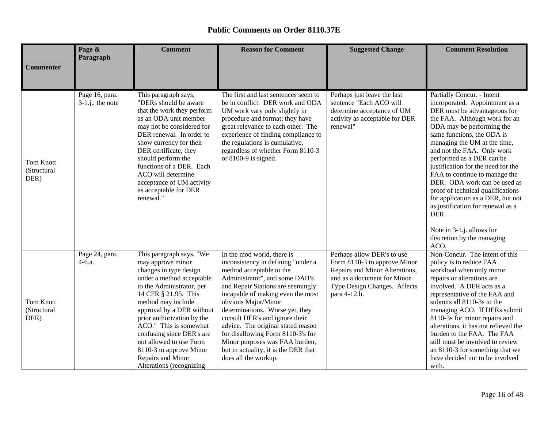|                                         | Page &                               | <b>Comment</b>                                                                                                                                                                                                                                                                                                                                                                                           | <b>Reason for Comment</b>                                                                                                                                                                                                                                                                                                                                                                                                                                                         | <b>Suggested Change</b>                                                                                                                                                     | <b>Comment Resolution</b>                                                                                                                                                                                                                                                                                                                                                                                                                                                                                                                                                            |
|-----------------------------------------|--------------------------------------|----------------------------------------------------------------------------------------------------------------------------------------------------------------------------------------------------------------------------------------------------------------------------------------------------------------------------------------------------------------------------------------------------------|-----------------------------------------------------------------------------------------------------------------------------------------------------------------------------------------------------------------------------------------------------------------------------------------------------------------------------------------------------------------------------------------------------------------------------------------------------------------------------------|-----------------------------------------------------------------------------------------------------------------------------------------------------------------------------|--------------------------------------------------------------------------------------------------------------------------------------------------------------------------------------------------------------------------------------------------------------------------------------------------------------------------------------------------------------------------------------------------------------------------------------------------------------------------------------------------------------------------------------------------------------------------------------|
| <b>Commenter</b>                        | Paragraph                            |                                                                                                                                                                                                                                                                                                                                                                                                          |                                                                                                                                                                                                                                                                                                                                                                                                                                                                                   |                                                                                                                                                                             |                                                                                                                                                                                                                                                                                                                                                                                                                                                                                                                                                                                      |
| <b>Tom Knott</b><br>(Structural<br>DER) | Page 16, para.<br>$3-1.j.,$ the note | This paragraph says,<br>"DERs should be aware<br>that the work they perform<br>as an ODA unit member<br>may not be considered for<br>DER renewal. In order to<br>show currency for their<br>DER certificate, they<br>should perform the<br>functions of a DER. Each<br>ACO will determine<br>acceptance of UM activity<br>as acceptable for DER<br>renewal."                                             | The first and last sentences seem to<br>be in conflict. DER work and ODA<br>UM work vary only slightly in<br>procedure and format; they have<br>great relevance to each other. The<br>experience of finding compliance to<br>the regulations is cumulative,<br>regardless of whether Form 8110-3<br>or $8100-9$ is signed.                                                                                                                                                        | Perhaps just leave the last<br>sentence "Each ACO will<br>determine acceptance of UM<br>activity as acceptable for DER<br>renewal"                                          | Partially Concur. - Intent<br>incorporated. Appointment as a<br>DER must be advantageous for<br>the FAA. Although work for an<br>ODA may be performing the<br>same functions, the ODA is<br>managing the UM at the time,<br>and not the FAA. Only work<br>performed as a DER can be<br>justification for the need for the<br>FAA to continue to manage the<br>DER. ODA work can be used as<br>proof of technical qualifications<br>for application as a DER, but not<br>as justification for renewal as a<br>DER.<br>Note in 3-1.j. allows for<br>discretion by the managing<br>ACO. |
| <b>Tom Knott</b><br>(Structural<br>DER) | Page 24, para.<br>$4 - 6.a.$         | This paragraph says, "We<br>may approve minor<br>changes in type design<br>under a method acceptable<br>to the Administrator, per<br>14 CFR § 21.95. This<br>method may include<br>approval by a DER without<br>prior authorization by the<br>ACO." This is somewhat<br>confusing since DER's are<br>not allowed to use Form<br>8110-3 to approve Minor<br>Repairs and Minor<br>Alterations (recognizing | In the mod world, there is<br>inconsistency in defining "under a<br>method acceptable to the<br>Administrator", and some DAH's<br>and Repair Stations are seemingly<br>incapable of making even the most<br>obvious Major/Minor<br>determinations. Worse yet, they<br>consult DER's and ignore their<br>advice. The original stated reason<br>for disallowing Form 8110-3's for<br>Minor purposes was FAA burden,<br>but in actuality, it is the DER that<br>does all the workup. | Perhaps allow DER's to use<br>Form 8110-3 to approve Minor<br>Repairs and Minor Alterations,<br>and as a document for Minor<br>Type Design Changes. Affects<br>para 4-12.b. | Non-Concur. The intent of this<br>policy is to reduce FAA<br>workload when only minor<br>repairs or alterations are<br>involved. A DER acts as a<br>representative of the FAA and<br>submits all 8110-3s to the<br>managing ACO. If DERs submit<br>8110-3s for minor repairs and<br>alterations, it has not relieved the<br>burden to the FAA. The FAA<br>still must be involved to review<br>an 8110-3 for something that we<br>have decided not to be involved<br>with.                                                                                                            |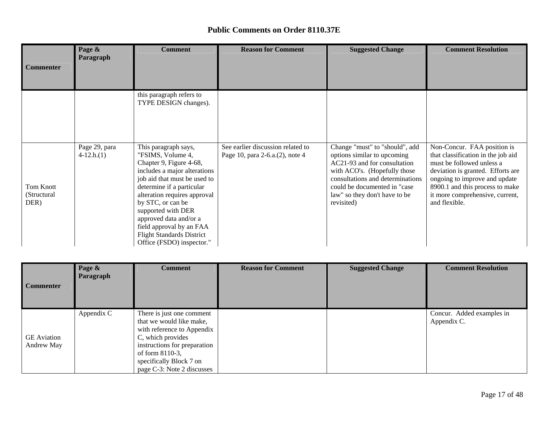| <b>Commenter</b>                 | Page &<br>Paragraph          | <b>Comment</b>                                                                                                                                                                                                                                                                                                                                                      | <b>Reason for Comment</b>                                            | <b>Suggested Change</b>                                                                                                                                                                                                                          | <b>Comment Resolution</b>                                                                                                                                                                                                                                   |
|----------------------------------|------------------------------|---------------------------------------------------------------------------------------------------------------------------------------------------------------------------------------------------------------------------------------------------------------------------------------------------------------------------------------------------------------------|----------------------------------------------------------------------|--------------------------------------------------------------------------------------------------------------------------------------------------------------------------------------------------------------------------------------------------|-------------------------------------------------------------------------------------------------------------------------------------------------------------------------------------------------------------------------------------------------------------|
|                                  |                              | this paragraph refers to<br>TYPE DESIGN changes).                                                                                                                                                                                                                                                                                                                   |                                                                      |                                                                                                                                                                                                                                                  |                                                                                                                                                                                                                                                             |
| Tom Knott<br>(Structural<br>DER) | Page 29, para<br>$4-12.h(1)$ | This paragraph says,<br>"FSIMS, Volume 4,<br>Chapter 9, Figure 4-68,<br>includes a major alterations<br>job aid that must be used to<br>determine if a particular<br>alteration requires approval<br>by STC, or can be<br>supported with DER<br>approved data and/or a<br>field approval by an FAA<br><b>Flight Standards District</b><br>Office (FSDO) inspector." | See earlier discussion related to<br>Page 10, para 2-6.a.(2), note 4 | Change "must" to "should", add<br>options similar to upcoming<br>AC21-93 and for consultation<br>with ACO's. (Hopefully those<br>consultations and determinations<br>could be documented in "case<br>law" so they don't have to be<br>revisited) | Non-Concur. FAA position is<br>that classification in the job aid<br>must be followed unless a<br>deviation is granted. Efforts are<br>ongoing to improve and update<br>8900.1 and this process to make<br>it more comprehensive, current,<br>and flexible. |

| <b>Commenter</b>                 | Page &<br>Paragraph | <b>Comment</b>                                                                                                                                                                                                       | <b>Reason for Comment</b> | <b>Suggested Change</b> | <b>Comment Resolution</b>                |
|----------------------------------|---------------------|----------------------------------------------------------------------------------------------------------------------------------------------------------------------------------------------------------------------|---------------------------|-------------------------|------------------------------------------|
| <b>GE</b> Aviation<br>Andrew May | Appendix C          | There is just one comment<br>that we would like make,<br>with reference to Appendix<br>C, which provides<br>instructions for preparation<br>of form 8110-3,<br>specifically Block 7 on<br>page C-3: Note 2 discusses |                           |                         | Concur. Added examples in<br>Appendix C. |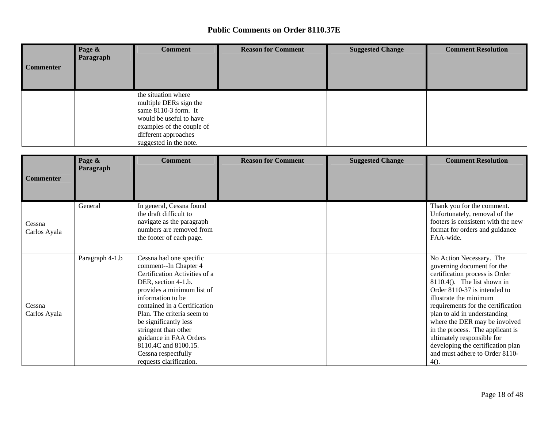| <b>Commenter</b> | Page &<br>Paragraph | <b>Comment</b>                                                                                                                                                                    | <b>Reason for Comment</b> | <b>Suggested Change</b> | <b>Comment Resolution</b> |
|------------------|---------------------|-----------------------------------------------------------------------------------------------------------------------------------------------------------------------------------|---------------------------|-------------------------|---------------------------|
|                  |                     | the situation where<br>multiple DERs sign the<br>same $8110-3$ form. It<br>would be useful to have<br>examples of the couple of<br>different approaches<br>suggested in the note. |                           |                         |                           |

|                        | Page &<br>Paragraph | <b>Comment</b>                                                                                                                                                                                                                                                                                                                                                                 | <b>Reason for Comment</b> | <b>Suggested Change</b> | <b>Comment Resolution</b>                                                                                                                                                                                                                                                                                                                                                                                                                       |
|------------------------|---------------------|--------------------------------------------------------------------------------------------------------------------------------------------------------------------------------------------------------------------------------------------------------------------------------------------------------------------------------------------------------------------------------|---------------------------|-------------------------|-------------------------------------------------------------------------------------------------------------------------------------------------------------------------------------------------------------------------------------------------------------------------------------------------------------------------------------------------------------------------------------------------------------------------------------------------|
| <b>Commenter</b>       |                     |                                                                                                                                                                                                                                                                                                                                                                                |                           |                         |                                                                                                                                                                                                                                                                                                                                                                                                                                                 |
| Cessna<br>Carlos Ayala | General             | In general, Cessna found<br>the draft difficult to<br>navigate as the paragraph<br>numbers are removed from<br>the footer of each page.                                                                                                                                                                                                                                        |                           |                         | Thank you for the comment.<br>Unfortunately, removal of the<br>footers is consistent with the new<br>format for orders and guidance<br>FAA-wide.                                                                                                                                                                                                                                                                                                |
| Cessna<br>Carlos Ayala | Paragraph 4-1.b     | Cessna had one specific<br>comment--In Chapter 4<br>Certification Activities of a<br>DER, section 4-1.b.<br>provides a minimum list of<br>information to be<br>contained in a Certification<br>Plan. The criteria seem to<br>be significantly less<br>stringent than other<br>guidance in FAA Orders<br>8110.4C and 8100.15.<br>Cessna respectfully<br>requests clarification. |                           |                         | No Action Necessary. The<br>governing document for the<br>certification process is Order<br>$8110.4()$ . The list shown in<br>Order 8110-37 is intended to<br>illustrate the minimum<br>requirements for the certification<br>plan to aid in understanding<br>where the DER may be involved<br>in the process. The applicant is<br>ultimately responsible for<br>developing the certification plan<br>and must adhere to Order 8110-<br>$4()$ . |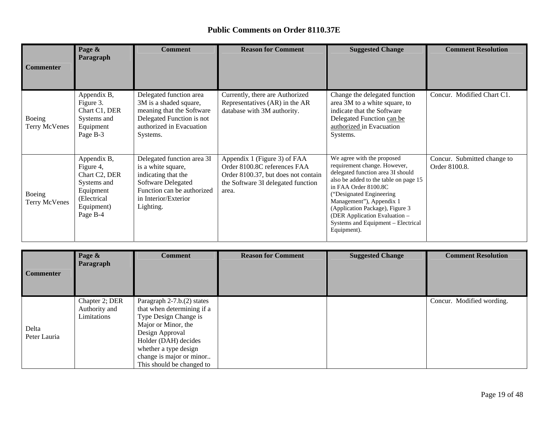| <b>Commenter</b>               | Page &<br>Paragraph                                                                                            | <b>Comment</b>                                                                                                                                                   | <b>Reason for Comment</b>                                                                                                                          | <b>Suggested Change</b>                                                                                                                                                                                                                                                                                                                           | <b>Comment Resolution</b>                    |
|--------------------------------|----------------------------------------------------------------------------------------------------------------|------------------------------------------------------------------------------------------------------------------------------------------------------------------|----------------------------------------------------------------------------------------------------------------------------------------------------|---------------------------------------------------------------------------------------------------------------------------------------------------------------------------------------------------------------------------------------------------------------------------------------------------------------------------------------------------|----------------------------------------------|
| Boeing<br>Terry McVenes        | Appendix B,<br>Figure 3.<br>Chart C1, DER<br>Systems and<br>Equipment<br>Page B-3                              | Delegated function area<br>3M is a shaded square,<br>meaning that the Software<br>Delegated Function is not<br>authorized in Evacuation<br>Systems.              | Currently, there are Authorized<br>Representatives (AR) in the AR<br>database with 3M authority.                                                   | Change the delegated function<br>area 3M to a white square, to<br>indicate that the Software<br>Delegated Function can be<br>authorized in Evacuation<br>Systems.                                                                                                                                                                                 | Concur. Modified Chart C1.                   |
| Boeing<br><b>Terry McVenes</b> | Appendix B,<br>Figure 4,<br>Chart C2, DER<br>Systems and<br>Equipment<br>(Electrical<br>Equipment)<br>Page B-4 | Delegated function area 3I<br>is a white square,<br>indicating that the<br>Software Delegated<br>Function can be authorized<br>in Interior/Exterior<br>Lighting. | Appendix 1 (Figure 3) of FAA<br>Order 8100.8C references FAA<br>Order 8100.37, but does not contain<br>the Software 3I delegated function<br>area. | We agree with the proposed<br>requirement change. However,<br>delegated function area 3I should<br>also be added to the table on page 15<br>in FAA Order 8100.8C<br>("Designated Engineering<br>Management"), Appendix 1<br>(Application Package), Figure 3<br>(DER Application Evaluation -<br>Systems and Equipment - Electrical<br>Equipment). | Concur. Submitted change to<br>Order 8100.8. |

| <b>Commenter</b>      | Page &<br>Paragraph                            | <b>Comment</b>                                                                                                                                                                                                                        | <b>Reason for Comment</b> | <b>Suggested Change</b> | <b>Comment Resolution</b> |
|-----------------------|------------------------------------------------|---------------------------------------------------------------------------------------------------------------------------------------------------------------------------------------------------------------------------------------|---------------------------|-------------------------|---------------------------|
| Delta<br>Peter Lauria | Chapter 2; DER<br>Authority and<br>Limitations | Paragraph 2-7.b.(2) states<br>that when determining if a<br>Type Design Change is<br>Major or Minor, the<br>Design Approval<br>Holder (DAH) decides<br>whether a type design<br>change is major or minor<br>This should be changed to |                           |                         | Concur. Modified wording. |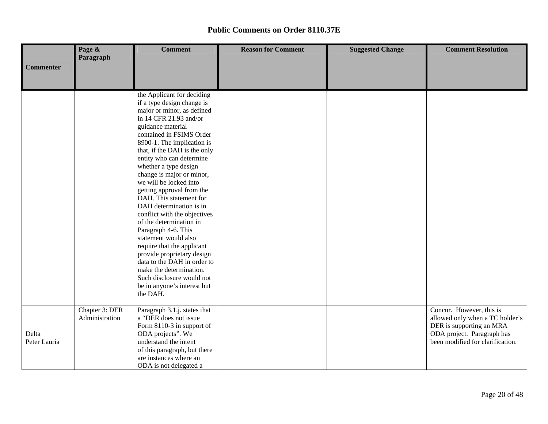|                  | Page &         | <b>Comment</b>                                       | <b>Reason for Comment</b> | <b>Suggested Change</b> | <b>Comment Resolution</b>        |  |  |  |  |
|------------------|----------------|------------------------------------------------------|---------------------------|-------------------------|----------------------------------|--|--|--|--|
|                  | Paragraph      |                                                      |                           |                         |                                  |  |  |  |  |
| <b>Commenter</b> |                |                                                      |                           |                         |                                  |  |  |  |  |
|                  |                |                                                      |                           |                         |                                  |  |  |  |  |
|                  |                |                                                      |                           |                         |                                  |  |  |  |  |
|                  |                | the Applicant for deciding                           |                           |                         |                                  |  |  |  |  |
|                  |                | if a type design change is                           |                           |                         |                                  |  |  |  |  |
|                  |                | major or minor, as defined                           |                           |                         |                                  |  |  |  |  |
|                  |                | in 14 CFR 21.93 and/or                               |                           |                         |                                  |  |  |  |  |
|                  |                | guidance material<br>contained in FSIMS Order        |                           |                         |                                  |  |  |  |  |
|                  |                | 8900-1. The implication is                           |                           |                         |                                  |  |  |  |  |
|                  |                | that, if the DAH is the only                         |                           |                         |                                  |  |  |  |  |
|                  |                | entity who can determine                             |                           |                         |                                  |  |  |  |  |
|                  |                | whether a type design                                |                           |                         |                                  |  |  |  |  |
|                  |                | change is major or minor,                            |                           |                         |                                  |  |  |  |  |
|                  |                | we will be locked into                               |                           |                         |                                  |  |  |  |  |
|                  |                | getting approval from the                            |                           |                         |                                  |  |  |  |  |
|                  |                | DAH. This statement for                              |                           |                         |                                  |  |  |  |  |
|                  |                | DAH determination is in                              |                           |                         |                                  |  |  |  |  |
|                  |                | conflict with the objectives                         |                           |                         |                                  |  |  |  |  |
|                  |                | of the determination in                              |                           |                         |                                  |  |  |  |  |
|                  |                | Paragraph 4-6. This                                  |                           |                         |                                  |  |  |  |  |
|                  |                | statement would also                                 |                           |                         |                                  |  |  |  |  |
|                  |                | require that the applicant                           |                           |                         |                                  |  |  |  |  |
|                  |                | provide proprietary design                           |                           |                         |                                  |  |  |  |  |
|                  |                | data to the DAH in order to                          |                           |                         |                                  |  |  |  |  |
|                  |                | make the determination.<br>Such disclosure would not |                           |                         |                                  |  |  |  |  |
|                  |                | be in anyone's interest but                          |                           |                         |                                  |  |  |  |  |
|                  |                | the DAH.                                             |                           |                         |                                  |  |  |  |  |
|                  |                |                                                      |                           |                         |                                  |  |  |  |  |
|                  | Chapter 3: DER | Paragraph 3.1.j. states that                         |                           |                         | Concur. However, this is         |  |  |  |  |
|                  | Administration | a "DER does not issue                                |                           |                         | allowed only when a TC holder's  |  |  |  |  |
|                  |                | Form 8110-3 in support of                            |                           |                         | DER is supporting an MRA         |  |  |  |  |
| Delta            |                | ODA projects". We                                    |                           |                         | ODA project. Paragraph has       |  |  |  |  |
| Peter Lauria     |                | understand the intent                                |                           |                         | been modified for clarification. |  |  |  |  |
|                  |                | of this paragraph, but there                         |                           |                         |                                  |  |  |  |  |
|                  |                | are instances where an                               |                           |                         |                                  |  |  |  |  |
|                  |                | ODA is not delegated a                               |                           |                         |                                  |  |  |  |  |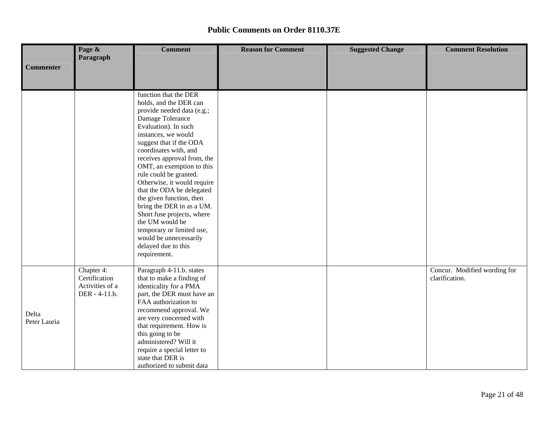|                       | Page &                                                          | <b>Comment</b>                                                                                                                                                                                                                                                                                                                                                                                                                                                                                                                                                 | <b>Reason for Comment</b> | <b>Suggested Change</b> | <b>Comment Resolution</b>                      |  |  |  |  |  |
|-----------------------|-----------------------------------------------------------------|----------------------------------------------------------------------------------------------------------------------------------------------------------------------------------------------------------------------------------------------------------------------------------------------------------------------------------------------------------------------------------------------------------------------------------------------------------------------------------------------------------------------------------------------------------------|---------------------------|-------------------------|------------------------------------------------|--|--|--|--|--|
| <b>Commenter</b>      | Paragraph                                                       |                                                                                                                                                                                                                                                                                                                                                                                                                                                                                                                                                                |                           |                         |                                                |  |  |  |  |  |
|                       |                                                                 |                                                                                                                                                                                                                                                                                                                                                                                                                                                                                                                                                                |                           |                         |                                                |  |  |  |  |  |
|                       |                                                                 | function that the DER<br>holds, and the DER can<br>provide needed data (e.g.;<br>Damage Tolerance<br>Evaluation). In such<br>instances, we would<br>suggest that if the ODA<br>coordinates with, and<br>receives approval from, the<br>OMT, an exemption to this<br>rule could be granted.<br>Otherwise, it would require<br>that the ODA be delegated<br>the given function, then<br>bring the DER in as a UM.<br>Short fuse projects, where<br>the UM would be<br>temporary or limited use,<br>would be unnecessarily<br>delayed due to this<br>requirement. |                           |                         |                                                |  |  |  |  |  |
| Delta<br>Peter Lauria | Chapter 4:<br>Certification<br>Activities of a<br>DER - 4-11.b. | Paragraph 4-11.b. states<br>that to make a finding of<br>identicality for a PMA<br>part, the DER must have an<br>FAA authorization to<br>recommend approval. We<br>are very concerned with<br>that requirement. How is<br>this going to be<br>administered? Will it<br>require a special letter to<br>state that DER is<br>authorized to submit data                                                                                                                                                                                                           |                           |                         | Concur. Modified wording for<br>clarification. |  |  |  |  |  |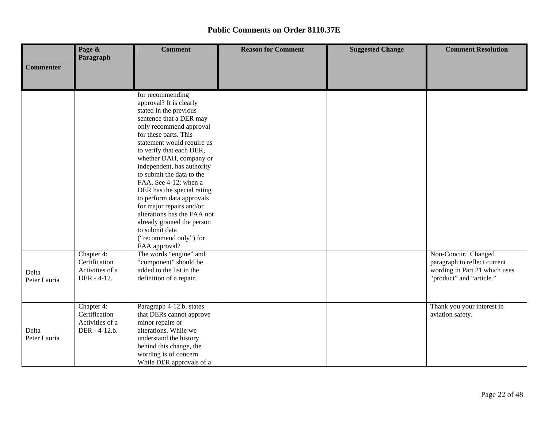|                       | Page &<br>Paragraph                                             | <b>Comment</b>                                                                                                                                                                                                                                                                                                                                                                                                                                                                                                                                 | <b>Reason for Comment</b> | <b>Suggested Change</b> | <b>Comment Resolution</b>                                                                                        |  |  |  |  |
|-----------------------|-----------------------------------------------------------------|------------------------------------------------------------------------------------------------------------------------------------------------------------------------------------------------------------------------------------------------------------------------------------------------------------------------------------------------------------------------------------------------------------------------------------------------------------------------------------------------------------------------------------------------|---------------------------|-------------------------|------------------------------------------------------------------------------------------------------------------|--|--|--|--|
| <b>Commenter</b>      |                                                                 |                                                                                                                                                                                                                                                                                                                                                                                                                                                                                                                                                |                           |                         |                                                                                                                  |  |  |  |  |
|                       |                                                                 |                                                                                                                                                                                                                                                                                                                                                                                                                                                                                                                                                |                           |                         |                                                                                                                  |  |  |  |  |
|                       |                                                                 | for recommending<br>approval? It is clearly<br>stated in the previous<br>sentence that a DER may<br>only recommend approval<br>for these parts. This<br>statement would require us<br>to verify that each DER,<br>whether DAH, company or<br>independent, has authority<br>to submit the data to the<br>FAA. See 4-12; when a<br>DER has the special rating<br>to perform data approvals<br>for major repairs and/or<br>alterations has the FAA not<br>already granted the person<br>to submit data<br>("recommend only") for<br>FAA approval? |                           |                         |                                                                                                                  |  |  |  |  |
| Delta<br>Peter Lauria | Chapter 4:<br>Certification<br>Activities of a<br>DER - 4-12.   | The words "engine" and<br>"component" should be<br>added to the list in the<br>definition of a repair.                                                                                                                                                                                                                                                                                                                                                                                                                                         |                           |                         | Non-Concur. Changed<br>paragraph to reflect current<br>wording in Part 21 which uses<br>"product" and "article." |  |  |  |  |
| Delta<br>Peter Lauria | Chapter 4:<br>Certification<br>Activities of a<br>DER - 4-12.b. | Paragraph 4-12.b. states<br>that DERs cannot approve<br>minor repairs or<br>alterations. While we<br>understand the history<br>behind this change, the<br>wording is of concern.<br>While DER approvals of a                                                                                                                                                                                                                                                                                                                                   |                           |                         | Thank you your interest in<br>aviation safety.                                                                   |  |  |  |  |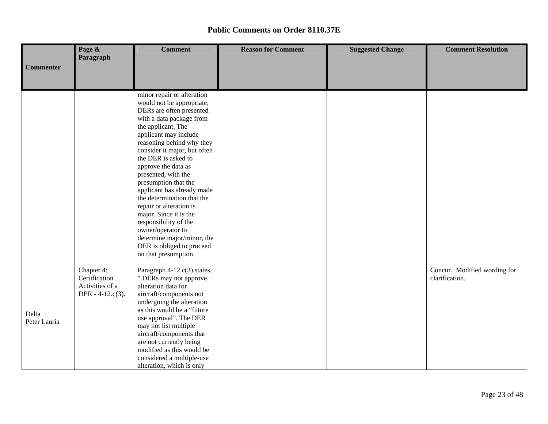|                  | Page &<br><b>Comment</b> |                                                      | <b>Reason for Comment</b> | <b>Suggested Change</b> | <b>Comment Resolution</b>    |  |  |  |  |
|------------------|--------------------------|------------------------------------------------------|---------------------------|-------------------------|------------------------------|--|--|--|--|
|                  | Paragraph                |                                                      |                           |                         |                              |  |  |  |  |
| <b>Commenter</b> |                          |                                                      |                           |                         |                              |  |  |  |  |
|                  |                          |                                                      |                           |                         |                              |  |  |  |  |
|                  |                          | minor repair or alteration                           |                           |                         |                              |  |  |  |  |
|                  |                          | would not be appropriate,                            |                           |                         |                              |  |  |  |  |
|                  |                          | DERs are often presented                             |                           |                         |                              |  |  |  |  |
|                  |                          | with a data package from                             |                           |                         |                              |  |  |  |  |
|                  |                          | the applicant. The                                   |                           |                         |                              |  |  |  |  |
|                  |                          | applicant may include                                |                           |                         |                              |  |  |  |  |
|                  |                          | reasoning behind why they                            |                           |                         |                              |  |  |  |  |
|                  |                          | consider it major, but often<br>the DER is asked to  |                           |                         |                              |  |  |  |  |
|                  |                          | approve the data as                                  |                           |                         |                              |  |  |  |  |
|                  |                          | presented, with the                                  |                           |                         |                              |  |  |  |  |
|                  |                          | presumption that the                                 |                           |                         |                              |  |  |  |  |
|                  |                          | applicant has already made                           |                           |                         |                              |  |  |  |  |
|                  |                          | the determination that the                           |                           |                         |                              |  |  |  |  |
|                  |                          | repair or alteration is                              |                           |                         |                              |  |  |  |  |
|                  |                          | major. Since it is the                               |                           |                         |                              |  |  |  |  |
|                  |                          | responsibility of the                                |                           |                         |                              |  |  |  |  |
|                  |                          | owner/operator to<br>determine major/minor, the      |                           |                         |                              |  |  |  |  |
|                  |                          | DER is obliged to proceed                            |                           |                         |                              |  |  |  |  |
|                  |                          | on that presumption.                                 |                           |                         |                              |  |  |  |  |
|                  |                          |                                                      |                           |                         |                              |  |  |  |  |
|                  | Chapter 4:               | Paragraph 4-12.c(3) states,                          |                           |                         | Concur. Modified wording for |  |  |  |  |
|                  | Certification            | " DERs may not approve                               |                           |                         | clarification.               |  |  |  |  |
|                  | Activities of a          | alteration data for                                  |                           |                         |                              |  |  |  |  |
|                  | DER - $4-12.c(3)$ .      | aircraft/components not<br>undergoing the alteration |                           |                         |                              |  |  |  |  |
|                  |                          | as this would be a "future                           |                           |                         |                              |  |  |  |  |
| Delta            |                          | use approval". The DER                               |                           |                         |                              |  |  |  |  |
| Peter Lauria     |                          | may not list multiple                                |                           |                         |                              |  |  |  |  |
|                  |                          | aircraft/components that                             |                           |                         |                              |  |  |  |  |
|                  |                          | are not currently being                              |                           |                         |                              |  |  |  |  |
|                  |                          | modified as this would be                            |                           |                         |                              |  |  |  |  |
|                  |                          | considered a multiple-use                            |                           |                         |                              |  |  |  |  |
|                  |                          | alteration, which is only                            |                           |                         |                              |  |  |  |  |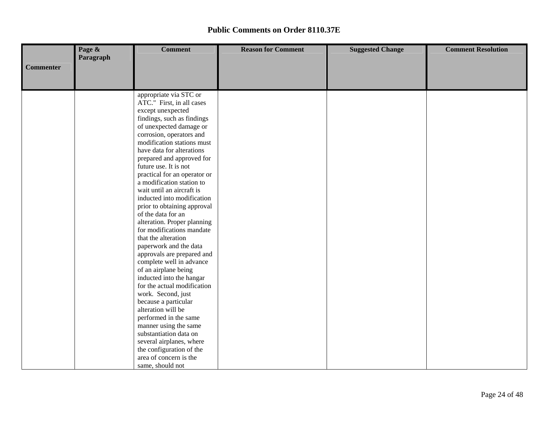|                  | Page &    | <b>Comment</b>                                   | <b>Reason for Comment</b> | <b>Suggested Change</b> | <b>Comment Resolution</b> |
|------------------|-----------|--------------------------------------------------|---------------------------|-------------------------|---------------------------|
|                  | Paragraph |                                                  |                           |                         |                           |
| <b>Commenter</b> |           |                                                  |                           |                         |                           |
|                  |           |                                                  |                           |                         |                           |
|                  |           |                                                  |                           |                         |                           |
|                  |           | appropriate via STC or                           |                           |                         |                           |
|                  |           | ATC." First, in all cases                        |                           |                         |                           |
|                  |           | except unexpected                                |                           |                         |                           |
|                  |           | findings, such as findings                       |                           |                         |                           |
|                  |           | of unexpected damage or                          |                           |                         |                           |
|                  |           | corrosion, operators and                         |                           |                         |                           |
|                  |           | modification stations must                       |                           |                         |                           |
|                  |           | have data for alterations                        |                           |                         |                           |
|                  |           | prepared and approved for                        |                           |                         |                           |
|                  |           | future use. It is not                            |                           |                         |                           |
|                  |           | practical for an operator or                     |                           |                         |                           |
|                  |           | a modification station to                        |                           |                         |                           |
|                  |           | wait until an aircraft is                        |                           |                         |                           |
|                  |           | inducted into modification                       |                           |                         |                           |
|                  |           | prior to obtaining approval                      |                           |                         |                           |
|                  |           | of the data for an                               |                           |                         |                           |
|                  |           | alteration. Proper planning                      |                           |                         |                           |
|                  |           | for modifications mandate                        |                           |                         |                           |
|                  |           | that the alteration                              |                           |                         |                           |
|                  |           | paperwork and the data                           |                           |                         |                           |
|                  |           | approvals are prepared and                       |                           |                         |                           |
|                  |           | complete well in advance                         |                           |                         |                           |
|                  |           | of an airplane being<br>inducted into the hangar |                           |                         |                           |
|                  |           | for the actual modification                      |                           |                         |                           |
|                  |           | work. Second, just                               |                           |                         |                           |
|                  |           | because a particular                             |                           |                         |                           |
|                  |           | alteration will be                               |                           |                         |                           |
|                  |           | performed in the same                            |                           |                         |                           |
|                  |           | manner using the same                            |                           |                         |                           |
|                  |           | substantiation data on                           |                           |                         |                           |
|                  |           | several airplanes, where                         |                           |                         |                           |
|                  |           | the configuration of the                         |                           |                         |                           |
|                  |           | area of concern is the                           |                           |                         |                           |
|                  |           | same, should not                                 |                           |                         |                           |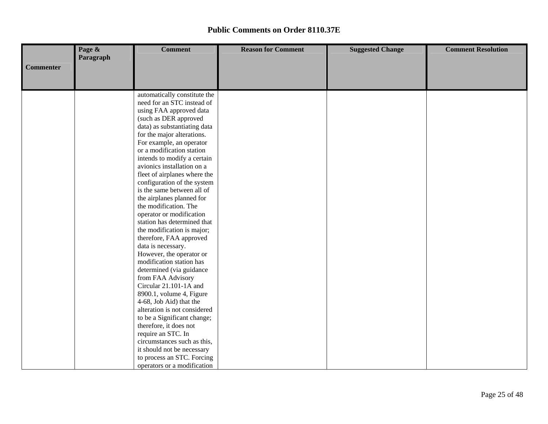|                  | Page &    | <b>Comment</b>                                        | <b>Reason for Comment</b> | <b>Suggested Change</b> | <b>Comment Resolution</b> |
|------------------|-----------|-------------------------------------------------------|---------------------------|-------------------------|---------------------------|
|                  | Paragraph |                                                       |                           |                         |                           |
| <b>Commenter</b> |           |                                                       |                           |                         |                           |
|                  |           |                                                       |                           |                         |                           |
|                  |           |                                                       |                           |                         |                           |
|                  |           | automatically constitute the                          |                           |                         |                           |
|                  |           | need for an STC instead of                            |                           |                         |                           |
|                  |           | using FAA approved data                               |                           |                         |                           |
|                  |           | (such as DER approved                                 |                           |                         |                           |
|                  |           | data) as substantiating data                          |                           |                         |                           |
|                  |           | for the major alterations.                            |                           |                         |                           |
|                  |           | For example, an operator<br>or a modification station |                           |                         |                           |
|                  |           | intends to modify a certain                           |                           |                         |                           |
|                  |           | avionics installation on a                            |                           |                         |                           |
|                  |           | fleet of airplanes where the                          |                           |                         |                           |
|                  |           | configuration of the system                           |                           |                         |                           |
|                  |           | is the same between all of                            |                           |                         |                           |
|                  |           | the airplanes planned for                             |                           |                         |                           |
|                  |           | the modification. The                                 |                           |                         |                           |
|                  |           | operator or modification                              |                           |                         |                           |
|                  |           | station has determined that                           |                           |                         |                           |
|                  |           | the modification is major;                            |                           |                         |                           |
|                  |           | therefore, FAA approved                               |                           |                         |                           |
|                  |           | data is necessary.                                    |                           |                         |                           |
|                  |           | However, the operator or                              |                           |                         |                           |
|                  |           | modification station has                              |                           |                         |                           |
|                  |           | determined (via guidance                              |                           |                         |                           |
|                  |           | from FAA Advisory                                     |                           |                         |                           |
|                  |           | Circular 21.101-1A and                                |                           |                         |                           |
|                  |           | 8900.1, volume 4, Figure                              |                           |                         |                           |
|                  |           | 4-68, Job Aid) that the                               |                           |                         |                           |
|                  |           | alteration is not considered                          |                           |                         |                           |
|                  |           | to be a Significant change;                           |                           |                         |                           |
|                  |           | therefore, it does not                                |                           |                         |                           |
|                  |           | require an STC. In                                    |                           |                         |                           |
|                  |           | circumstances such as this,                           |                           |                         |                           |
|                  |           | it should not be necessary                            |                           |                         |                           |
|                  |           | to process an STC. Forcing                            |                           |                         |                           |
|                  |           | operators or a modification                           |                           |                         |                           |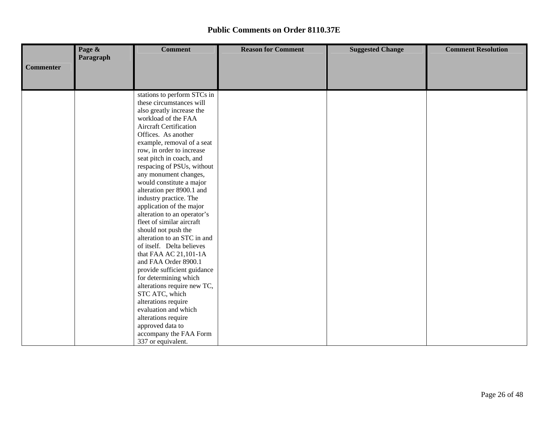|                  | Page &    | <b>Comment</b>                | <b>Reason for Comment</b> | <b>Suggested Change</b> | <b>Comment Resolution</b> |
|------------------|-----------|-------------------------------|---------------------------|-------------------------|---------------------------|
|                  | Paragraph |                               |                           |                         |                           |
| <b>Commenter</b> |           |                               |                           |                         |                           |
|                  |           |                               |                           |                         |                           |
|                  |           |                               |                           |                         |                           |
|                  |           | stations to perform STCs in   |                           |                         |                           |
|                  |           | these circumstances will      |                           |                         |                           |
|                  |           | also greatly increase the     |                           |                         |                           |
|                  |           | workload of the FAA           |                           |                         |                           |
|                  |           | <b>Aircraft Certification</b> |                           |                         |                           |
|                  |           | Offices. As another           |                           |                         |                           |
|                  |           | example, removal of a seat    |                           |                         |                           |
|                  |           | row, in order to increase     |                           |                         |                           |
|                  |           | seat pitch in coach, and      |                           |                         |                           |
|                  |           | respacing of PSUs, without    |                           |                         |                           |
|                  |           | any monument changes,         |                           |                         |                           |
|                  |           | would constitute a major      |                           |                         |                           |
|                  |           | alteration per 8900.1 and     |                           |                         |                           |
|                  |           | industry practice. The        |                           |                         |                           |
|                  |           | application of the major      |                           |                         |                           |
|                  |           | alteration to an operator's   |                           |                         |                           |
|                  |           | fleet of similar aircraft     |                           |                         |                           |
|                  |           | should not push the           |                           |                         |                           |
|                  |           | alteration to an STC in and   |                           |                         |                           |
|                  |           | of itself. Delta believes     |                           |                         |                           |
|                  |           | that FAA AC 21,101-1A         |                           |                         |                           |
|                  |           | and FAA Order 8900.1          |                           |                         |                           |
|                  |           | provide sufficient guidance   |                           |                         |                           |
|                  |           | for determining which         |                           |                         |                           |
|                  |           | alterations require new TC,   |                           |                         |                           |
|                  |           | STC ATC, which                |                           |                         |                           |
|                  |           | alterations require           |                           |                         |                           |
|                  |           | evaluation and which          |                           |                         |                           |
|                  |           | alterations require           |                           |                         |                           |
|                  |           | approved data to              |                           |                         |                           |
|                  |           | accompany the FAA Form        |                           |                         |                           |
|                  |           | 337 or equivalent.            |                           |                         |                           |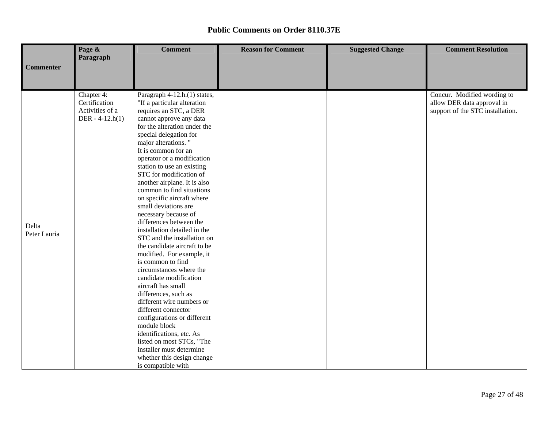|                  | Page &                      | <b>Comment</b>                                              | <b>Reason for Comment</b> | <b>Suggested Change</b> | <b>Comment Resolution</b>                                 |
|------------------|-----------------------------|-------------------------------------------------------------|---------------------------|-------------------------|-----------------------------------------------------------|
|                  | Paragraph                   |                                                             |                           |                         |                                                           |
| <b>Commenter</b> |                             |                                                             |                           |                         |                                                           |
|                  |                             |                                                             |                           |                         |                                                           |
|                  |                             |                                                             |                           |                         |                                                           |
|                  | Chapter 4:<br>Certification | Paragraph 4-12.h.(1) states,<br>"If a particular alteration |                           |                         | Concur. Modified wording to<br>allow DER data approval in |
|                  | Activities of a             | requires an STC, a DER                                      |                           |                         | support of the STC installation.                          |
|                  | DER - $4-12.h(1)$           | cannot approve any data                                     |                           |                         |                                                           |
|                  |                             | for the alteration under the                                |                           |                         |                                                           |
|                  |                             | special delegation for                                      |                           |                         |                                                           |
|                  |                             | major alterations."<br>It is common for an                  |                           |                         |                                                           |
|                  |                             | operator or a modification                                  |                           |                         |                                                           |
|                  |                             | station to use an existing                                  |                           |                         |                                                           |
|                  |                             | STC for modification of                                     |                           |                         |                                                           |
|                  |                             | another airplane. It is also                                |                           |                         |                                                           |
|                  |                             | common to find situations                                   |                           |                         |                                                           |
|                  |                             | on specific aircraft where                                  |                           |                         |                                                           |
|                  |                             | small deviations are                                        |                           |                         |                                                           |
|                  |                             | necessary because of                                        |                           |                         |                                                           |
| Delta            |                             | differences between the                                     |                           |                         |                                                           |
| Peter Lauria     |                             | installation detailed in the                                |                           |                         |                                                           |
|                  |                             | STC and the installation on                                 |                           |                         |                                                           |
|                  |                             | the candidate aircraft to be                                |                           |                         |                                                           |
|                  |                             | modified. For example, it                                   |                           |                         |                                                           |
|                  |                             | is common to find                                           |                           |                         |                                                           |
|                  |                             | circumstances where the                                     |                           |                         |                                                           |
|                  |                             | candidate modification                                      |                           |                         |                                                           |
|                  |                             | aircraft has small<br>differences, such as                  |                           |                         |                                                           |
|                  |                             | different wire numbers or                                   |                           |                         |                                                           |
|                  |                             | different connector                                         |                           |                         |                                                           |
|                  |                             | configurations or different                                 |                           |                         |                                                           |
|                  |                             | module block                                                |                           |                         |                                                           |
|                  |                             | identifications, etc. As                                    |                           |                         |                                                           |
|                  |                             | listed on most STCs, "The                                   |                           |                         |                                                           |
|                  |                             | installer must determine                                    |                           |                         |                                                           |
|                  |                             | whether this design change                                  |                           |                         |                                                           |
|                  |                             | is compatible with                                          |                           |                         |                                                           |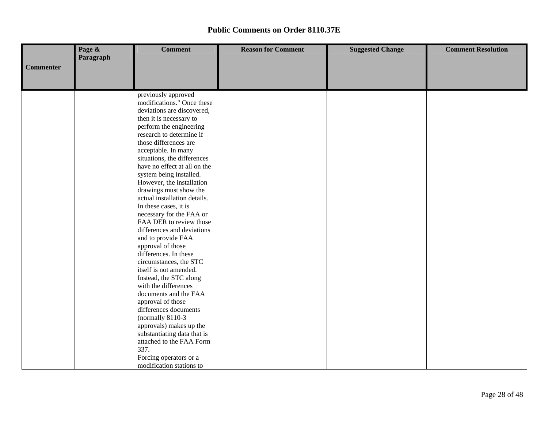|                  | Page &    | <b>Comment</b>                                  | <b>Reason for Comment</b> | <b>Suggested Change</b> | <b>Comment Resolution</b> |
|------------------|-----------|-------------------------------------------------|---------------------------|-------------------------|---------------------------|
|                  | Paragraph |                                                 |                           |                         |                           |
| <b>Commenter</b> |           |                                                 |                           |                         |                           |
|                  |           |                                                 |                           |                         |                           |
|                  |           |                                                 |                           |                         |                           |
|                  |           | previously approved                             |                           |                         |                           |
|                  |           | modifications." Once these                      |                           |                         |                           |
|                  |           | deviations are discovered,                      |                           |                         |                           |
|                  |           | then it is necessary to                         |                           |                         |                           |
|                  |           | perform the engineering                         |                           |                         |                           |
|                  |           | research to determine if                        |                           |                         |                           |
|                  |           | those differences are                           |                           |                         |                           |
|                  |           | acceptable. In many                             |                           |                         |                           |
|                  |           | situations, the differences                     |                           |                         |                           |
|                  |           | have no effect at all on the                    |                           |                         |                           |
|                  |           | system being installed.                         |                           |                         |                           |
|                  |           | However, the installation                       |                           |                         |                           |
|                  |           | drawings must show the                          |                           |                         |                           |
|                  |           | actual installation details.                    |                           |                         |                           |
|                  |           | In these cases, it is                           |                           |                         |                           |
|                  |           | necessary for the FAA or                        |                           |                         |                           |
|                  |           | FAA DER to review those                         |                           |                         |                           |
|                  |           | differences and deviations                      |                           |                         |                           |
|                  |           | and to provide FAA                              |                           |                         |                           |
|                  |           | approval of those                               |                           |                         |                           |
|                  |           | differences. In these<br>circumstances, the STC |                           |                         |                           |
|                  |           | itself is not amended.                          |                           |                         |                           |
|                  |           | Instead, the STC along                          |                           |                         |                           |
|                  |           | with the differences                            |                           |                         |                           |
|                  |           | documents and the FAA                           |                           |                         |                           |
|                  |           | approval of those                               |                           |                         |                           |
|                  |           | differences documents                           |                           |                         |                           |
|                  |           | (normally 8110-3)                               |                           |                         |                           |
|                  |           | approvals) makes up the                         |                           |                         |                           |
|                  |           | substantiating data that is                     |                           |                         |                           |
|                  |           | attached to the FAA Form                        |                           |                         |                           |
|                  |           | 337.                                            |                           |                         |                           |
|                  |           | Forcing operators or a                          |                           |                         |                           |
|                  |           | modification stations to                        |                           |                         |                           |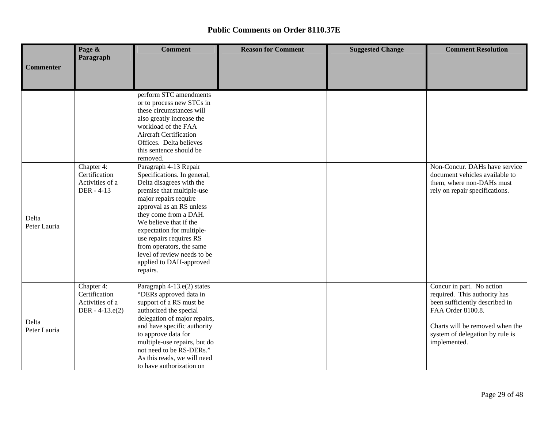|                       | Page &                                                              | <b>Comment</b>                                                                                                                                                                                                                                                                                                                                                                  | <b>Reason for Comment</b> | <b>Suggested Change</b> | <b>Comment Resolution</b>                                                                                                                                                                              |
|-----------------------|---------------------------------------------------------------------|---------------------------------------------------------------------------------------------------------------------------------------------------------------------------------------------------------------------------------------------------------------------------------------------------------------------------------------------------------------------------------|---------------------------|-------------------------|--------------------------------------------------------------------------------------------------------------------------------------------------------------------------------------------------------|
| <b>Commenter</b>      | Paragraph                                                           |                                                                                                                                                                                                                                                                                                                                                                                 |                           |                         |                                                                                                                                                                                                        |
|                       |                                                                     |                                                                                                                                                                                                                                                                                                                                                                                 |                           |                         |                                                                                                                                                                                                        |
|                       |                                                                     | perform STC amendments<br>or to process new STCs in<br>these circumstances will<br>also greatly increase the<br>workload of the FAA<br><b>Aircraft Certification</b><br>Offices. Delta believes<br>this sentence should be<br>removed.                                                                                                                                          |                           |                         |                                                                                                                                                                                                        |
| Delta<br>Peter Lauria | Chapter 4:<br>Certification<br>Activities of a<br>DER - 4-13        | Paragraph 4-13 Repair<br>Specifications. In general,<br>Delta disagrees with the<br>premise that multiple-use<br>major repairs require<br>approval as an RS unless<br>they come from a DAH.<br>We believe that if the<br>expectation for multiple-<br>use repairs requires RS<br>from operators, the same<br>level of review needs to be<br>applied to DAH-approved<br>repairs. |                           |                         | Non-Concur. DAHs have service<br>document vehicles available to<br>them, where non-DAHs must<br>rely on repair specifications.                                                                         |
| Delta<br>Peter Lauria | Chapter 4:<br>Certification<br>Activities of a<br>DER - $4-13.e(2)$ | Paragraph 4-13.e(2) states<br>"DERs approved data in<br>support of a RS must be<br>authorized the special<br>delegation of major repairs,<br>and have specific authority<br>to approve data for<br>multiple-use repairs, but do<br>not need to be RS-DERs."<br>As this reads, we will need<br>to have authorization on                                                          |                           |                         | Concur in part. No action<br>required. This authority has<br>been sufficiently described in<br>FAA Order 8100.8.<br>Charts will be removed when the<br>system of delegation by rule is<br>implemented. |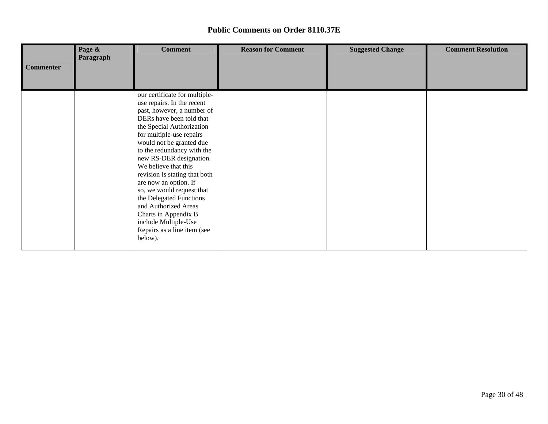|                  | Page &<br>Paragraph | <b>Comment</b>                                                                                                                                     | <b>Reason for Comment</b> | <b>Suggested Change</b> | <b>Comment Resolution</b> |
|------------------|---------------------|----------------------------------------------------------------------------------------------------------------------------------------------------|---------------------------|-------------------------|---------------------------|
| <b>Commenter</b> |                     |                                                                                                                                                    |                           |                         |                           |
|                  |                     | our certificate for multiple-<br>use repairs. In the recent<br>past, however, a number of<br>DERs have been told that<br>the Special Authorization |                           |                         |                           |
|                  |                     | for multiple-use repairs<br>would not be granted due<br>to the redundancy with the<br>new RS-DER designation.<br>We believe that this              |                           |                         |                           |
|                  |                     | revision is stating that both<br>are now an option. If<br>so, we would request that<br>the Delegated Functions<br>and Authorized Areas             |                           |                         |                           |
|                  |                     | Charts in Appendix B<br>include Multiple-Use<br>Repairs as a line item (see<br>below).                                                             |                           |                         |                           |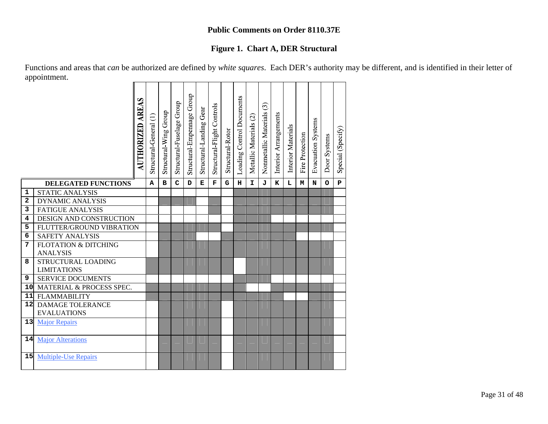# **Figure 1. Chart A, DER Structural**

Functions and areas that *can* be authorized are defined by *white squares*. Each DER's authority may be different, and is identified in their letter of appointment. 

|        | <b>AUTHORIZED</b>                                  | AREAS | Structural-General (1) | Structural Wing Group | Structural-Fuselage Group | Structural-Empennage Group | Structural-Landing Gear | Structural-Flight Controls | Structural-Rotor | Loading Control Documents | Metallic Materials (2) | ල<br>Nonmetallic Materials | Interior Arrangements | Interior Materials | Fire Protection | Evacuation Systems | Door Systems | Special (Specify) |
|--------|----------------------------------------------------|-------|------------------------|-----------------------|---------------------------|----------------------------|-------------------------|----------------------------|------------------|---------------------------|------------------------|----------------------------|-----------------------|--------------------|-----------------|--------------------|--------------|-------------------|
|        | <b>DELEGATED FUNCTIONS</b>                         |       | A                      | в                     | $\mathbf C$               | D                          | E                       | $\mathbf F$                | G                | н                         | I.                     | J                          | K                     | L                  | М               | N                  | $\circ$      | $\mathbf{P}$      |
| 1<br>2 | <b>STATIC ANALYSIS</b><br><b>DYNAMIC ANALYSIS</b>  |       |                        |                       |                           |                            |                         |                            |                  |                           |                        |                            |                       |                    |                 |                    |              |                   |
| 3      | <b>FATIGUE ANALYSIS</b>                            |       |                        |                       |                           |                            |                         |                            |                  |                           |                        |                            |                       |                    |                 |                    |              |                   |
| 4      | DESIGN AND CONSTRUCTION                            |       |                        |                       |                           |                            |                         |                            |                  |                           |                        |                            |                       |                    |                 |                    |              |                   |
| 5      | FLUTTER/GROUND VIBRATION                           |       |                        |                       |                           |                            |                         |                            |                  |                           |                        |                            |                       |                    |                 |                    |              |                   |
| 6      | <b>SAFETY ANALYSIS</b>                             |       |                        |                       |                           |                            |                         |                            |                  |                           |                        |                            |                       |                    |                 |                    |              |                   |
| 7      | <b>FLOTATION &amp; DITCHING</b><br><b>ANALYSIS</b> |       |                        |                       |                           |                            |                         |                            |                  |                           |                        |                            |                       |                    |                 |                    |              |                   |
| 8      | STRUCTURAL LOADING<br><b>LIMITATIONS</b>           |       |                        |                       |                           |                            |                         |                            |                  |                           |                        |                            |                       |                    |                 |                    |              |                   |
| 9      | <b>SERVICE DOCUMENTS</b>                           |       |                        |                       |                           |                            |                         |                            |                  |                           |                        |                            |                       |                    |                 |                    |              |                   |
| 10     | MATERIAL & PROCESS SPEC.                           |       |                        |                       |                           |                            |                         |                            |                  |                           |                        |                            |                       |                    |                 |                    |              |                   |
| 11     | <b>FLAMMABILITY</b>                                |       |                        |                       |                           |                            |                         |                            |                  |                           |                        |                            |                       |                    |                 |                    |              |                   |
| 12     | <b>DAMAGE TOLERANCE</b><br><b>EVALUATIONS</b>      |       |                        |                       |                           |                            |                         |                            |                  |                           |                        |                            |                       |                    |                 |                    |              |                   |
| 13     | <b>Major Repairs</b>                               |       |                        |                       |                           |                            |                         |                            |                  |                           |                        |                            |                       |                    |                 |                    |              |                   |
| 14     | <b>Major Alterations</b>                           |       |                        |                       |                           |                            |                         |                            |                  |                           |                        |                            |                       |                    |                 |                    |              |                   |
| 15     | <b>Multiple-Use Repairs</b>                        |       |                        |                       |                           |                            |                         |                            |                  |                           |                        |                            |                       |                    |                 |                    |              |                   |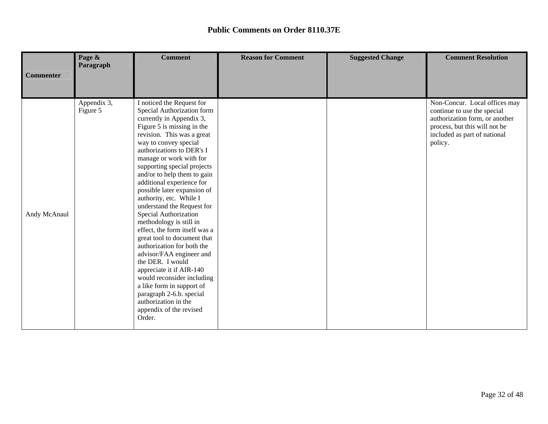|                  | Page &<br>Paragraph     | <b>Comment</b>                                                                                                                                                                                                                                                                                                                                                                                                                                                                                                                                                                                                                                                                                                                                                                                        | <b>Reason for Comment</b> | <b>Suggested Change</b> | <b>Comment Resolution</b>                                                                                                                                                  |
|------------------|-------------------------|-------------------------------------------------------------------------------------------------------------------------------------------------------------------------------------------------------------------------------------------------------------------------------------------------------------------------------------------------------------------------------------------------------------------------------------------------------------------------------------------------------------------------------------------------------------------------------------------------------------------------------------------------------------------------------------------------------------------------------------------------------------------------------------------------------|---------------------------|-------------------------|----------------------------------------------------------------------------------------------------------------------------------------------------------------------------|
| <b>Commenter</b> |                         |                                                                                                                                                                                                                                                                                                                                                                                                                                                                                                                                                                                                                                                                                                                                                                                                       |                           |                         |                                                                                                                                                                            |
| Andy McAnaul     | Appendix 3,<br>Figure 5 | I noticed the Request for<br>Special Authorization form<br>currently in Appendix 3,<br>Figure 5 is missing in the<br>revision. This was a great<br>way to convey special<br>authorizations to DER's I<br>manage or work with for<br>supporting special projects<br>and/or to help them to gain<br>additional experience for<br>possible later expansion of<br>authority, etc. While I<br>understand the Request for<br>Special Authorization<br>methodology is still in<br>effect, the form itself was a<br>great tool to document that<br>authorization for both the<br>advisor/FAA engineer and<br>the DER. I would<br>appreciate it if AIR-140<br>would reconsider including<br>a like form in support of<br>paragraph 2-6.b. special<br>authorization in the<br>appendix of the revised<br>Order. |                           |                         | Non-Concur. Local offices may<br>continue to use the special<br>authorization form, or another<br>process, but this will not be<br>included as part of national<br>policy. |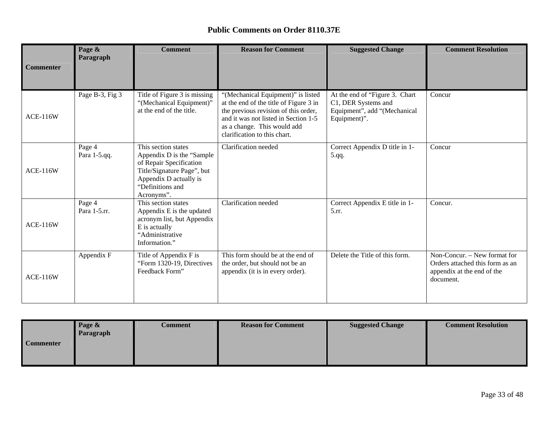|                  | Page &<br>Paragraph    | <b>Comment</b>                                                                                                                                                         | <b>Reason for Comment</b>                                                                                                                                                                                                   | <b>Suggested Change</b>                                                                                | <b>Comment Resolution</b>                                                                                  |
|------------------|------------------------|------------------------------------------------------------------------------------------------------------------------------------------------------------------------|-----------------------------------------------------------------------------------------------------------------------------------------------------------------------------------------------------------------------------|--------------------------------------------------------------------------------------------------------|------------------------------------------------------------------------------------------------------------|
| <b>Commenter</b> |                        |                                                                                                                                                                        |                                                                                                                                                                                                                             |                                                                                                        |                                                                                                            |
| <b>ACE-116W</b>  | Page B-3, Fig 3        | Title of Figure 3 is missing<br>"(Mechanical Equipment)"<br>at the end of the title.                                                                                   | "(Mechanical Equipment)" is listed<br>at the end of the title of Figure 3 in<br>the previous revision of this order,<br>and it was not listed in Section 1-5<br>as a change. This would add<br>clarification to this chart. | At the end of "Figure 3. Chart"<br>C1, DER Systems and<br>Equipment", add "(Mechanical<br>Equipment)". | Concur                                                                                                     |
| <b>ACE-116W</b>  | Page 4<br>Para 1-5.qq. | This section states<br>Appendix D is the "Sample"<br>of Repair Specification<br>Title/Signature Page", but<br>Appendix D actually is<br>"Definitions and<br>Acronyms". | Clarification needed                                                                                                                                                                                                        | Correct Appendix D title in 1-<br>5.qq.                                                                | Concur                                                                                                     |
| <b>ACE-116W</b>  | Page 4<br>Para 1-5.rr. | This section states<br>Appendix E is the updated<br>acronym list, but Appendix<br>E is actually<br>"Administrative<br>Information."                                    | Clarification needed                                                                                                                                                                                                        | Correct Appendix E title in 1-<br>5.rr.                                                                | Concur.                                                                                                    |
| <b>ACE-116W</b>  | Appendix F             | Title of Appendix F is<br>"Form 1320-19, Directives<br>Feedback Form"                                                                                                  | This form should be at the end of<br>the order, but should not be an<br>appendix (it is in every order).                                                                                                                    | Delete the Title of this form.                                                                         | Non-Concur. – New format for<br>Orders attached this form as an<br>appendix at the end of the<br>document. |

|                  | Page &    | Comment | <b>Reason for Comment</b> | <b>Suggested Change</b> | <b>Comment Resolution</b> |
|------------------|-----------|---------|---------------------------|-------------------------|---------------------------|
|                  | Paragraph |         |                           |                         |                           |
| <b>Commenter</b> |           |         |                           |                         |                           |
|                  |           |         |                           |                         |                           |
|                  |           |         |                           |                         |                           |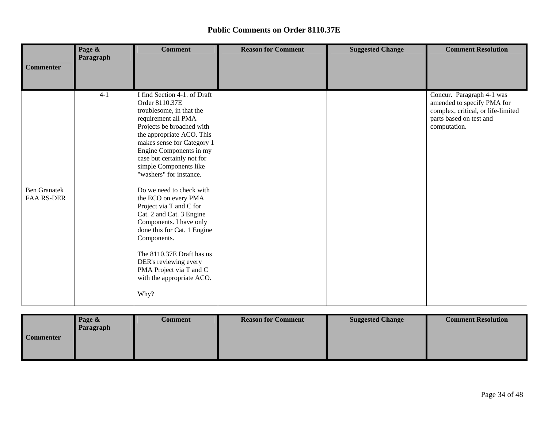|                                          | Page &<br>Paragraph | <b>Comment</b>                                                                                                                                                                                                                                                                                                                                                                                                                                                                                                                                                                                                    | <b>Reason for Comment</b> | <b>Suggested Change</b> | <b>Comment Resolution</b>                                                                                                                |
|------------------------------------------|---------------------|-------------------------------------------------------------------------------------------------------------------------------------------------------------------------------------------------------------------------------------------------------------------------------------------------------------------------------------------------------------------------------------------------------------------------------------------------------------------------------------------------------------------------------------------------------------------------------------------------------------------|---------------------------|-------------------------|------------------------------------------------------------------------------------------------------------------------------------------|
| <b>Commenter</b>                         |                     |                                                                                                                                                                                                                                                                                                                                                                                                                                                                                                                                                                                                                   |                           |                         |                                                                                                                                          |
| <b>Ben Granatek</b><br><b>FAA RS-DER</b> | $4 - 1$             | I find Section 4-1. of Draft<br>Order 8110.37E<br>troublesome, in that the<br>requirement all PMA<br>Projects be broached with<br>the appropriate ACO. This<br>makes sense for Category 1<br>Engine Components in my<br>case but certainly not for<br>simple Components like<br>"washers" for instance.<br>Do we need to check with<br>the ECO on every PMA<br>Project via T and C for<br>Cat. 2 and Cat. 3 Engine<br>Components. I have only<br>done this for Cat. 1 Engine<br>Components.<br>The 8110.37E Draft has us<br>DER's reviewing every<br>PMA Project via T and C<br>with the appropriate ACO.<br>Why? |                           |                         | Concur. Paragraph 4-1 was<br>amended to specify PMA for<br>complex, critical, or life-limited<br>parts based on test and<br>computation. |

|                  | Page &<br>Paragraph | Comment | <b>Reason for Comment</b> | <b>Suggested Change</b> | <b>Comment Resolution</b> |
|------------------|---------------------|---------|---------------------------|-------------------------|---------------------------|
| <b>Commenter</b> |                     |         |                           |                         |                           |
|                  |                     |         |                           |                         |                           |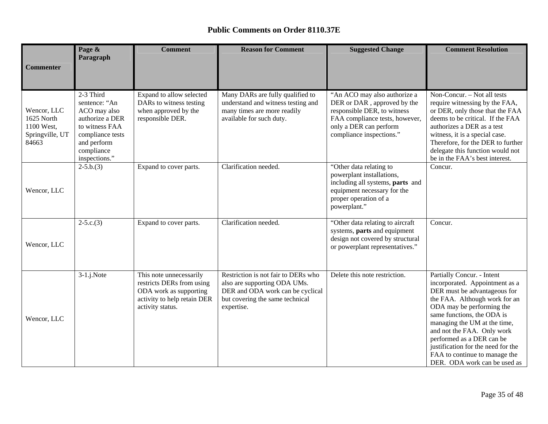| <b>Commenter</b>                                                    | Page &<br>Paragraph                                                                                                                               | <b>Comment</b>                                                                                                                    | <b>Reason for Comment</b>                                                                                                                                | <b>Suggested Change</b>                                                                                                                                                            | <b>Comment Resolution</b>                                                                                                                                                                                                                                                                                                                                                                  |
|---------------------------------------------------------------------|---------------------------------------------------------------------------------------------------------------------------------------------------|-----------------------------------------------------------------------------------------------------------------------------------|----------------------------------------------------------------------------------------------------------------------------------------------------------|------------------------------------------------------------------------------------------------------------------------------------------------------------------------------------|--------------------------------------------------------------------------------------------------------------------------------------------------------------------------------------------------------------------------------------------------------------------------------------------------------------------------------------------------------------------------------------------|
|                                                                     |                                                                                                                                                   |                                                                                                                                   |                                                                                                                                                          |                                                                                                                                                                                    |                                                                                                                                                                                                                                                                                                                                                                                            |
| Wencor, LLC<br>1625 North<br>1100 West,<br>Springville, UT<br>84663 | 2-3 Third<br>sentence: "An<br>ACO may also<br>authorize a DER<br>to witness FAA<br>compliance tests<br>and perform<br>compliance<br>inspections." | Expand to allow selected<br>DARs to witness testing<br>when approved by the<br>responsible DER.                                   | Many DARs are fully qualified to<br>understand and witness testing and<br>many times are more readily<br>available for such duty.                        | "An ACO may also authorize a<br>DER or DAR, approved by the<br>responsible DER, to witness<br>FAA compliance tests, however,<br>only a DER can perform<br>compliance inspections." | Non-Concur. - Not all tests<br>require witnessing by the FAA,<br>or DER, only those that the FAA<br>deems to be critical. If the FAA<br>authorizes a DER as a test<br>witness, it is a special case.<br>Therefore, for the DER to further<br>delegate this function would not<br>be in the FAA's best interest.                                                                            |
| Wencor, LLC                                                         | $2-5.b.(3)$                                                                                                                                       | Expand to cover parts.                                                                                                            | Clarification needed.                                                                                                                                    | "Other data relating to<br>powerplant installations,<br>including all systems, parts and<br>equipment necessary for the<br>proper operation of a<br>powerplant."                   | Concur.                                                                                                                                                                                                                                                                                                                                                                                    |
| Wencor, LLC                                                         | $2-5.c.(3)$                                                                                                                                       | Expand to cover parts.                                                                                                            | Clarification needed.                                                                                                                                    | "Other data relating to aircraft<br>systems, parts and equipment<br>design not covered by structural<br>or powerplant representatives."                                            | Concur.                                                                                                                                                                                                                                                                                                                                                                                    |
| Wencor, LLC                                                         | $3-1$ .j.Note                                                                                                                                     | This note unnecessarily<br>restricts DERs from using<br>ODA work as supporting<br>activity to help retain DER<br>activity status. | Restriction is not fair to DERs who<br>also are supporting ODA UMs.<br>DER and ODA work can be cyclical<br>but covering the same technical<br>expertise. | Delete this note restriction.                                                                                                                                                      | Partially Concur. - Intent<br>incorporated. Appointment as a<br>DER must be advantageous for<br>the FAA. Although work for an<br>ODA may be performing the<br>same functions, the ODA is<br>managing the UM at the time,<br>and not the FAA. Only work<br>performed as a DER can be<br>justification for the need for the<br>FAA to continue to manage the<br>DER. ODA work can be used as |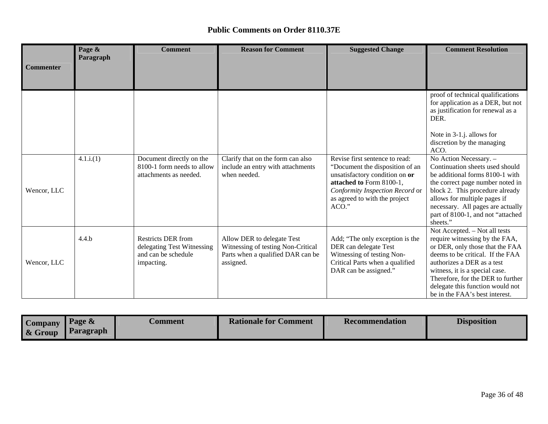|                  | Page &    | <b>Comment</b>                                                                               | <b>Reason for Comment</b>                                                                                          | <b>Suggested Change</b>                                                                                                                                                                                      | <b>Comment Resolution</b>                                                                                                                                                                                                                                                                                         |
|------------------|-----------|----------------------------------------------------------------------------------------------|--------------------------------------------------------------------------------------------------------------------|--------------------------------------------------------------------------------------------------------------------------------------------------------------------------------------------------------------|-------------------------------------------------------------------------------------------------------------------------------------------------------------------------------------------------------------------------------------------------------------------------------------------------------------------|
| <b>Commenter</b> | Paragraph |                                                                                              |                                                                                                                    |                                                                                                                                                                                                              |                                                                                                                                                                                                                                                                                                                   |
|                  |           |                                                                                              |                                                                                                                    |                                                                                                                                                                                                              |                                                                                                                                                                                                                                                                                                                   |
|                  |           |                                                                                              |                                                                                                                    |                                                                                                                                                                                                              | proof of technical qualifications<br>for application as a DER, but not<br>as justification for renewal as a<br>DER.                                                                                                                                                                                               |
|                  |           |                                                                                              |                                                                                                                    |                                                                                                                                                                                                              | Note in 3-1.j. allows for<br>discretion by the managing<br>ACO.                                                                                                                                                                                                                                                   |
| Wencor, LLC      | 4.1.i(1)  | Document directly on the<br>8100-1 form needs to allow<br>attachments as needed.             | Clarify that on the form can also<br>include an entry with attachments<br>when needed.                             | Revise first sentence to read:<br>"Document the disposition of an<br>unsatisfactory condition on or<br>attached to Form 8100-1,<br>Conformity Inspection Record or<br>as agreed to with the project<br>ACO." | No Action Necessary. -<br>Continuation sheets used should<br>be additional forms 8100-1 with<br>the correct page number noted in<br>block 2. This procedure already<br>allows for multiple pages if<br>necessary. All pages are actually<br>part of 8100-1, and not "attached<br>sheets."                         |
| Wencor, LLC      | 4.4.b     | <b>Restricts DER from</b><br>delegating Test Witnessing<br>and can be schedule<br>impacting. | Allow DER to delegate Test<br>Witnessing of testing Non-Critical<br>Parts when a qualified DAR can be<br>assigned. | Add; "The only exception is the<br>DER can delegate Test<br>Witnessing of testing Non-<br>Critical Parts when a qualified<br>DAR can be assigned."                                                           | Not Accepted. - Not all tests<br>require witnessing by the FAA,<br>or DER, only those that the FAA<br>deems to be critical. If the FAA<br>authorizes a DER as a test<br>witness, it is a special case.<br>Therefore, for the DER to further<br>delegate this function would not<br>be in the FAA's best interest. |

| <b>Company</b><br>& Group | Page &<br>Paragraph | <b>Comment</b> | <b>Rationale for Comment</b> | <b>Recommendation</b> | <b>Disposition</b> |
|---------------------------|---------------------|----------------|------------------------------|-----------------------|--------------------|
|                           |                     |                |                              |                       |                    |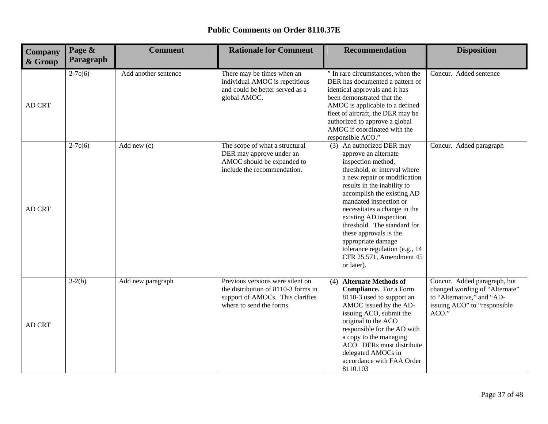| Company<br>& Group | Page &<br>Paragraph | <b>Comment</b>       | <b>Rationale for Comment</b>                                                                                                            | <b>Recommendation</b>                                                                                                                                                                                                                                                                                                                                                                                                                               | <b>Disposition</b>                                                                                                                    |
|--------------------|---------------------|----------------------|-----------------------------------------------------------------------------------------------------------------------------------------|-----------------------------------------------------------------------------------------------------------------------------------------------------------------------------------------------------------------------------------------------------------------------------------------------------------------------------------------------------------------------------------------------------------------------------------------------------|---------------------------------------------------------------------------------------------------------------------------------------|
| AD CRT             | $2-7c(6)$           | Add another sentence | There may be times when an<br>individual AMOC is repetitious<br>and could be better served as a<br>global AMOC.                         | " In rare circumstances, when the<br>DER has documented a pattern of<br>identical approvals and it has<br>been demonstrated that the<br>AMOC is applicable to a defined<br>fleet of aircraft, the DER may be<br>authorized to approve a global<br>AMOC if coordinated with the<br>responsible ACO."                                                                                                                                                 | Concur. Added sentence                                                                                                                |
| <b>AD CRT</b>      | $2-7c(6)$           | Add new $(c)$        | The scope of what a structural<br>DER may approve under an<br>AMOC should be expanded to<br>include the recommendation.                 | (3) An authorized DER may<br>approve an alternate<br>inspection method,<br>threshold, or interval where<br>a new repair or modification<br>results in the inability to<br>accomplish the existing AD<br>mandated inspection or<br>necessitates a change in the<br>existing AD inspection<br>threshold. The standard for<br>these approvals is the<br>appropriate damage<br>tolerance regulation (e.g., 14<br>CFR 25.571, Amendment 45<br>or later). | Concur. Added paragraph                                                                                                               |
| AD CRT             | $3-2(b)$            | Add new paragraph    | Previous versions were silent on<br>the distribution of 8110-3 forms in<br>support of AMOCs. This clarifies<br>where to send the forms. | (4) Alternate Methods of<br><b>Compliance.</b> For a Form<br>8110-3 used to support an<br>AMOC issued by the AD-<br>issuing ACO, submit the<br>original to the ACO<br>responsible for the AD with<br>a copy to the managing<br>ACO. DERs must distribute<br>delegated AMOCs in<br>accordance with FAA Order<br>8110.103                                                                                                                             | Concur. Added paragraph, but<br>changed wording of "Alternate"<br>to "Alternative," and "AD-<br>issuing ACO" to "responsible<br>ACO." |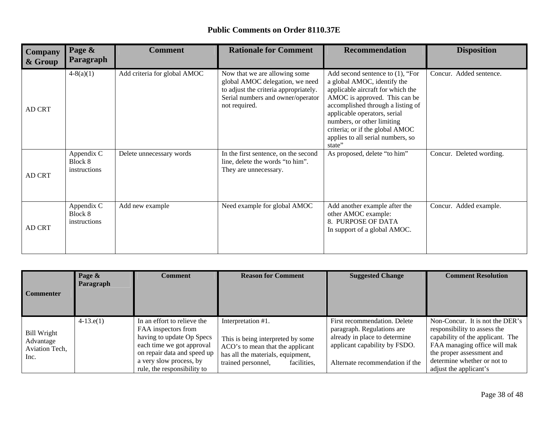| <b>Public Comments on Order 8110.37E</b> |  |
|------------------------------------------|--|
|------------------------------------------|--|

| <b>Company</b><br>& Group | Page &<br>Paragraph                   | <b>Comment</b>               | <b>Rationale for Comment</b>                                                                                                                                    | <b>Recommendation</b>                                                                                                                                                                                                                                                                                                         | <b>Disposition</b>       |
|---------------------------|---------------------------------------|------------------------------|-----------------------------------------------------------------------------------------------------------------------------------------------------------------|-------------------------------------------------------------------------------------------------------------------------------------------------------------------------------------------------------------------------------------------------------------------------------------------------------------------------------|--------------------------|
| <b>AD CRT</b>             | $4-8(a)(1)$                           | Add criteria for global AMOC | Now that we are allowing some<br>global AMOC delegation, we need<br>to adjust the criteria appropriately.<br>Serial numbers and owner/operator<br>not required. | Add second sentence to $(1)$ , "For<br>a global AMOC, identify the<br>applicable aircraft for which the<br>AMOC is approved. This can be<br>accomplished through a listing of<br>applicable operators, serial<br>numbers, or other limiting<br>criteria; or if the global AMOC<br>applies to all serial numbers, so<br>state" | Concur. Added sentence.  |
| <b>AD CRT</b>             | Appendix C<br>Block 8<br>instructions | Delete unnecessary words     | In the first sentence, on the second<br>line, delete the words "to him".<br>They are unnecessary.                                                               | As proposed, delete "to him"                                                                                                                                                                                                                                                                                                  | Concur. Deleted wording. |
| <b>AD CRT</b>             | Appendix C<br>Block 8<br>instructions | Add new example              | Need example for global AMOC                                                                                                                                    | Add another example after the<br>other AMOC example:<br>8. PURPOSE OF DATA<br>In support of a global AMOC.                                                                                                                                                                                                                    | Concur. Added example.   |

| <b>Commenter</b>                                          | Page &<br>Paragraph | Comment                                                                                                                                                                                               | <b>Reason for Comment</b>                                                                                                                                             | <b>Suggested Change</b>                                                                                                                                         | <b>Comment Resolution</b>                                                                                                                                                                                                 |
|-----------------------------------------------------------|---------------------|-------------------------------------------------------------------------------------------------------------------------------------------------------------------------------------------------------|-----------------------------------------------------------------------------------------------------------------------------------------------------------------------|-----------------------------------------------------------------------------------------------------------------------------------------------------------------|---------------------------------------------------------------------------------------------------------------------------------------------------------------------------------------------------------------------------|
| <b>Bill Wright</b><br>Advantage<br>Aviation Tech,<br>Inc. | $4-13.e(1)$         | In an effort to relieve the<br>FAA inspectors from<br>having to update Op Specs<br>each time we got approval<br>on repair data and speed up<br>a very slow process, by<br>rule, the responsibility to | Interpretation #1.<br>This is being interpreted by some<br>ACO's to mean that the applicant<br>has all the materials, equipment,<br>trained personnel,<br>facilities, | First recommendation. Delete<br>paragraph. Regulations are<br>already in place to determine<br>applicant capability by FSDO.<br>Alternate recommendation if the | Non-Concur. It is not the DER's<br>responsibility to assess the<br>capability of the applicant. The<br>FAA managing office will mak<br>the proper assessment and<br>determine whether or not to<br>adjust the applicant's |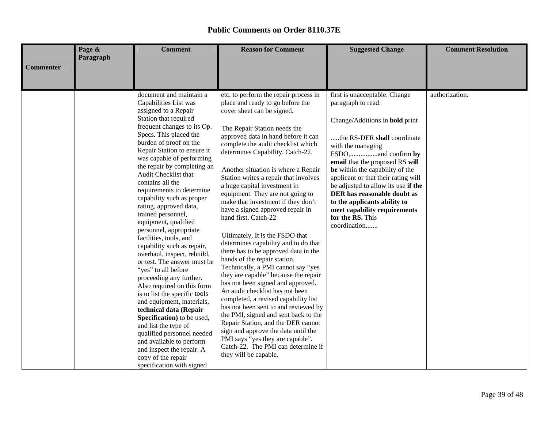|                  | Page &<br>Paragraph | <b>Comment</b>                                                                                                                                                                                                                                                                                                                                                                                                                                                                                                                                                                                                                                                                                                                                                                                                                                                                                                                                                                        | <b>Reason for Comment</b>                                                                                                                                                                                                                                                                                                                                                                                                                                                                                                                                                                                                                                                                                                                                                                                                                                                                                                                                                                                                                                                                                                       | <b>Suggested Change</b>                                                                                                                                                                                                                                                                                                                                                                                                                 | <b>Comment Resolution</b> |
|------------------|---------------------|---------------------------------------------------------------------------------------------------------------------------------------------------------------------------------------------------------------------------------------------------------------------------------------------------------------------------------------------------------------------------------------------------------------------------------------------------------------------------------------------------------------------------------------------------------------------------------------------------------------------------------------------------------------------------------------------------------------------------------------------------------------------------------------------------------------------------------------------------------------------------------------------------------------------------------------------------------------------------------------|---------------------------------------------------------------------------------------------------------------------------------------------------------------------------------------------------------------------------------------------------------------------------------------------------------------------------------------------------------------------------------------------------------------------------------------------------------------------------------------------------------------------------------------------------------------------------------------------------------------------------------------------------------------------------------------------------------------------------------------------------------------------------------------------------------------------------------------------------------------------------------------------------------------------------------------------------------------------------------------------------------------------------------------------------------------------------------------------------------------------------------|-----------------------------------------------------------------------------------------------------------------------------------------------------------------------------------------------------------------------------------------------------------------------------------------------------------------------------------------------------------------------------------------------------------------------------------------|---------------------------|
| <b>Commenter</b> |                     |                                                                                                                                                                                                                                                                                                                                                                                                                                                                                                                                                                                                                                                                                                                                                                                                                                                                                                                                                                                       |                                                                                                                                                                                                                                                                                                                                                                                                                                                                                                                                                                                                                                                                                                                                                                                                                                                                                                                                                                                                                                                                                                                                 |                                                                                                                                                                                                                                                                                                                                                                                                                                         |                           |
|                  |                     | document and maintain a<br>Capabilities List was<br>assigned to a Repair<br>Station that required<br>frequent changes to its Op.<br>Specs. This placed the<br>burden of proof on the<br>Repair Station to ensure it<br>was capable of performing<br>the repair by completing an<br>Audit Checklist that<br>contains all the<br>requirements to determine<br>capability such as proper<br>rating, approved data,<br>trained personnel,<br>equipment, qualified<br>personnel, appropriate<br>facilities, tools, and<br>capability such as repair,<br>overhaul, inspect, rebuild,<br>or test. The answer must be<br>"yes" to all before<br>proceeding any further.<br>Also required on this form<br>is to list the specific tools<br>and equipment, materials,<br>technical data (Repair<br>Specification) to be used,<br>and list the type of<br>qualified personnel needed<br>and available to perform<br>and inspect the repair. A<br>copy of the repair<br>specification with signed | etc. to perform the repair process in<br>place and ready to go before the<br>cover sheet can be signed.<br>The Repair Station needs the<br>approved data in hand before it can<br>complete the audit checklist which<br>determines Capability. Catch-22.<br>Another situation is where a Repair<br>Station writes a repair that involves<br>a huge capital investment in<br>equipment. They are not going to<br>make that investment if they don't<br>have a signed approved repair in<br>hand first. Catch-22<br>Ultimately, It is the FSDO that<br>determines capability and to do that<br>there has to be approved data in the<br>hands of the repair station.<br>Technically, a PMI cannot say "yes<br>they are capable" because the repair<br>has not been signed and approved.<br>An audit checklist has not been<br>completed, a revised capability list<br>has not been sent to and reviewed by<br>the PMI, signed and sent back to the<br>Repair Station, and the DER cannot<br>sign and approve the data until the<br>PMI says "yes they are capable".<br>Catch-22. The PMI can determine if<br>they will be capable. | first is unacceptable. Change<br>paragraph to read:<br>Change/Additions in <b>bold</b> print<br>the RS-DER shall coordinate<br>with the managing<br>email that the proposed RS will<br>be within the capability of the<br>applicant or that their rating will<br>be adjusted to allow its use if the<br>DER has reasonable doubt as<br>to the applicants ability to<br>meet capability requirements<br>for the RS. This<br>coordination | authorization.            |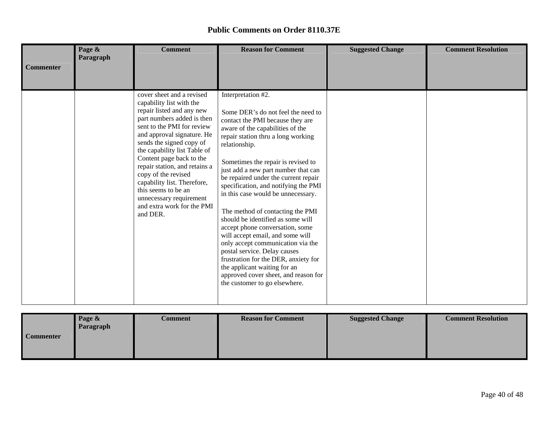| <b>Commenter</b> | Page &<br>Paragraph | <b>Comment</b>                                                                                                                                                                                                                                                                                                                                                                                                                                          | <b>Reason for Comment</b>                                                                                                                                                                                                                                                                                                                                                                                                                                                                                                                                                                                                                                                                                                                                        | <b>Suggested Change</b> | <b>Comment Resolution</b> |
|------------------|---------------------|---------------------------------------------------------------------------------------------------------------------------------------------------------------------------------------------------------------------------------------------------------------------------------------------------------------------------------------------------------------------------------------------------------------------------------------------------------|------------------------------------------------------------------------------------------------------------------------------------------------------------------------------------------------------------------------------------------------------------------------------------------------------------------------------------------------------------------------------------------------------------------------------------------------------------------------------------------------------------------------------------------------------------------------------------------------------------------------------------------------------------------------------------------------------------------------------------------------------------------|-------------------------|---------------------------|
|                  |                     | cover sheet and a revised<br>capability list with the<br>repair listed and any new<br>part numbers added is then<br>sent to the PMI for review<br>and approval signature. He<br>sends the signed copy of<br>the capability list Table of<br>Content page back to the<br>repair station, and retains a<br>copy of the revised<br>capability list. Therefore,<br>this seems to be an<br>unnecessary requirement<br>and extra work for the PMI<br>and DER. | Interpretation #2.<br>Some DER's do not feel the need to<br>contact the PMI because they are<br>aware of the capabilities of the<br>repair station thru a long working<br>relationship.<br>Sometimes the repair is revised to<br>just add a new part number that can<br>be repaired under the current repair<br>specification, and notifying the PMI<br>in this case would be unnecessary.<br>The method of contacting the PMI<br>should be identified as some will<br>accept phone conversation, some<br>will accept email, and some will<br>only accept communication via the<br>postal service. Delay causes<br>frustration for the DER, anxiety for<br>the applicant waiting for an<br>approved cover sheet, and reason for<br>the customer to go elsewhere. |                         |                           |

|                  | Page &    | <b>Comment</b> | <b>Reason for Comment</b> | <b>Suggested Change</b> | <b>Comment Resolution</b> |
|------------------|-----------|----------------|---------------------------|-------------------------|---------------------------|
|                  | Paragraph |                |                           |                         |                           |
| <b>Commenter</b> |           |                |                           |                         |                           |
|                  |           |                |                           |                         |                           |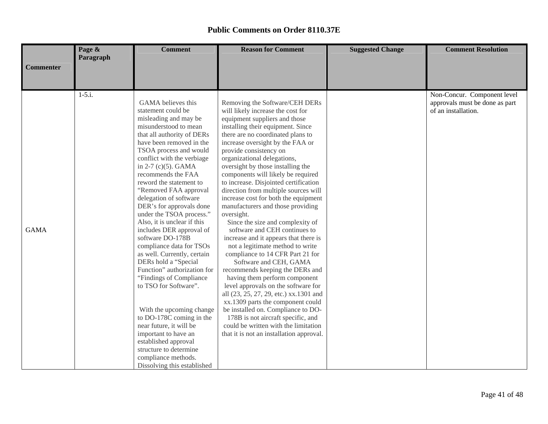|                                 | Page &    | <b>Comment</b>                                                                                                                                                                                                                                                                                                                                                                                                                                                                                                                                                                                                                                          | <b>Reason for Comment</b>                                                                                                                                                                                                                                                                                                                                                                                                                                                                                                                                                                                                                                                                                                                                                                                                                                                                                                                    | <b>Suggested Change</b> | <b>Comment Resolution</b>                                                            |
|---------------------------------|-----------|---------------------------------------------------------------------------------------------------------------------------------------------------------------------------------------------------------------------------------------------------------------------------------------------------------------------------------------------------------------------------------------------------------------------------------------------------------------------------------------------------------------------------------------------------------------------------------------------------------------------------------------------------------|----------------------------------------------------------------------------------------------------------------------------------------------------------------------------------------------------------------------------------------------------------------------------------------------------------------------------------------------------------------------------------------------------------------------------------------------------------------------------------------------------------------------------------------------------------------------------------------------------------------------------------------------------------------------------------------------------------------------------------------------------------------------------------------------------------------------------------------------------------------------------------------------------------------------------------------------|-------------------------|--------------------------------------------------------------------------------------|
|                                 | Paragraph |                                                                                                                                                                                                                                                                                                                                                                                                                                                                                                                                                                                                                                                         |                                                                                                                                                                                                                                                                                                                                                                                                                                                                                                                                                                                                                                                                                                                                                                                                                                                                                                                                              |                         |                                                                                      |
|                                 |           |                                                                                                                                                                                                                                                                                                                                                                                                                                                                                                                                                                                                                                                         |                                                                                                                                                                                                                                                                                                                                                                                                                                                                                                                                                                                                                                                                                                                                                                                                                                                                                                                                              |                         |                                                                                      |
|                                 |           |                                                                                                                                                                                                                                                                                                                                                                                                                                                                                                                                                                                                                                                         |                                                                                                                                                                                                                                                                                                                                                                                                                                                                                                                                                                                                                                                                                                                                                                                                                                                                                                                                              |                         |                                                                                      |
| <b>Commenter</b><br><b>GAMA</b> | $1-5.i.$  | GAMA believes this<br>statement could be<br>misleading and may be<br>misunderstood to mean<br>that all authority of DERs<br>have been removed in the<br>TSOA process and would<br>conflict with the verbiage<br>in $2-7$ (c)(5). GAMA<br>recommends the FAA<br>reword the statement to<br>"Removed FAA approval<br>delegation of software<br>DER's for approvals done<br>under the TSOA process."<br>Also, it is unclear if this<br>includes DER approval of<br>software DO-178B<br>compliance data for TSOs<br>as well. Currently, certain<br>DERs hold a "Special<br>Function" authorization for<br>"Findings of Compliance"<br>to TSO for Software". | Removing the Software/CEH DERs<br>will likely increase the cost for<br>equipment suppliers and those<br>installing their equipment. Since<br>there are no coordinated plans to<br>increase oversight by the FAA or<br>provide consistency on<br>organizational delegations,<br>oversight by those installing the<br>components will likely be required<br>to increase. Disjointed certification<br>direction from multiple sources will<br>increase cost for both the equipment<br>manufacturers and those providing<br>oversight.<br>Since the size and complexity of<br>software and CEH continues to<br>increase and it appears that there is<br>not a legitimate method to write<br>compliance to 14 CFR Part 21 for<br>Software and CEH, GAMA<br>recommends keeping the DERs and<br>having them perform component<br>level approvals on the software for<br>all (23, 25, 27, 29, etc.) xx.1301 and<br>xx.1309 parts the component could |                         | Non-Concur. Component level<br>approvals must be done as part<br>of an installation. |
|                                 |           | With the upcoming change<br>to DO-178C coming in the                                                                                                                                                                                                                                                                                                                                                                                                                                                                                                                                                                                                    | be installed on. Compliance to DO-<br>178B is not aircraft specific, and                                                                                                                                                                                                                                                                                                                                                                                                                                                                                                                                                                                                                                                                                                                                                                                                                                                                     |                         |                                                                                      |
|                                 |           | near future, it will be                                                                                                                                                                                                                                                                                                                                                                                                                                                                                                                                                                                                                                 | could be written with the limitation                                                                                                                                                                                                                                                                                                                                                                                                                                                                                                                                                                                                                                                                                                                                                                                                                                                                                                         |                         |                                                                                      |
|                                 |           | important to have an                                                                                                                                                                                                                                                                                                                                                                                                                                                                                                                                                                                                                                    | that it is not an installation approval.                                                                                                                                                                                                                                                                                                                                                                                                                                                                                                                                                                                                                                                                                                                                                                                                                                                                                                     |                         |                                                                                      |
|                                 |           | established approval                                                                                                                                                                                                                                                                                                                                                                                                                                                                                                                                                                                                                                    |                                                                                                                                                                                                                                                                                                                                                                                                                                                                                                                                                                                                                                                                                                                                                                                                                                                                                                                                              |                         |                                                                                      |
|                                 |           | structure to determine                                                                                                                                                                                                                                                                                                                                                                                                                                                                                                                                                                                                                                  |                                                                                                                                                                                                                                                                                                                                                                                                                                                                                                                                                                                                                                                                                                                                                                                                                                                                                                                                              |                         |                                                                                      |
|                                 |           | compliance methods.                                                                                                                                                                                                                                                                                                                                                                                                                                                                                                                                                                                                                                     |                                                                                                                                                                                                                                                                                                                                                                                                                                                                                                                                                                                                                                                                                                                                                                                                                                                                                                                                              |                         |                                                                                      |
|                                 |           | Dissolving this established                                                                                                                                                                                                                                                                                                                                                                                                                                                                                                                                                                                                                             |                                                                                                                                                                                                                                                                                                                                                                                                                                                                                                                                                                                                                                                                                                                                                                                                                                                                                                                                              |                         |                                                                                      |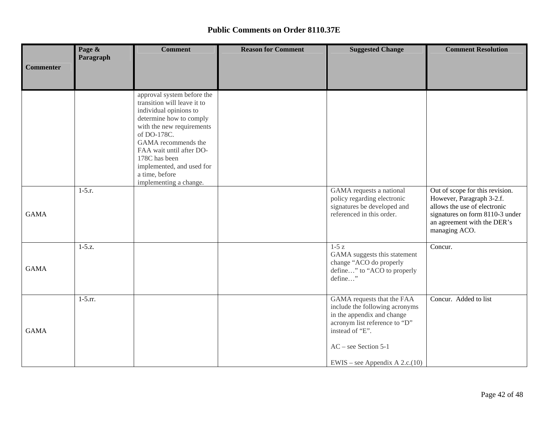|                  | Page &       | <b>Comment</b>                                                                                                                                                                                                                                                                                          | <b>Reason for Comment</b> | <b>Suggested Change</b>                                                                                                                                                                                      | <b>Comment Resolution</b>                                                                                                                                                       |
|------------------|--------------|---------------------------------------------------------------------------------------------------------------------------------------------------------------------------------------------------------------------------------------------------------------------------------------------------------|---------------------------|--------------------------------------------------------------------------------------------------------------------------------------------------------------------------------------------------------------|---------------------------------------------------------------------------------------------------------------------------------------------------------------------------------|
| <b>Commenter</b> | Paragraph    |                                                                                                                                                                                                                                                                                                         |                           |                                                                                                                                                                                                              |                                                                                                                                                                                 |
|                  |              |                                                                                                                                                                                                                                                                                                         |                           |                                                                                                                                                                                                              |                                                                                                                                                                                 |
|                  |              | approval system before the<br>transition will leave it to<br>individual opinions to<br>determine how to comply<br>with the new requirements<br>of DO-178C.<br>GAMA recommends the<br>FAA wait until after DO-<br>178C has been<br>implemented, and used for<br>a time, before<br>implementing a change. |                           |                                                                                                                                                                                                              |                                                                                                                                                                                 |
| <b>GAMA</b>      | $1-5.r.$     |                                                                                                                                                                                                                                                                                                         |                           | GAMA requests a national<br>policy regarding electronic<br>signatures be developed and<br>referenced in this order.                                                                                          | Out of scope for this revision.<br>However, Paragraph 3-2.f.<br>allows the use of electronic<br>signatures on form 8110-3 under<br>an agreement with the DER's<br>managing ACO. |
| <b>GAMA</b>      | $1-5.2$ .    |                                                                                                                                                                                                                                                                                                         |                           | $1-5z$<br>GAMA suggests this statement<br>change "ACO do properly<br>define" to "ACO to properly<br>define"                                                                                                  | Concur.                                                                                                                                                                         |
| <b>GAMA</b>      | $1 - 5.$ rr. |                                                                                                                                                                                                                                                                                                         |                           | GAMA requests that the FAA<br>include the following acronyms<br>in the appendix and change<br>acronym list reference to "D"<br>instead of "E".<br>$AC$ – see Section 5-1<br>EWIS – see Appendix A $2.c.(10)$ | Concur. Added to list                                                                                                                                                           |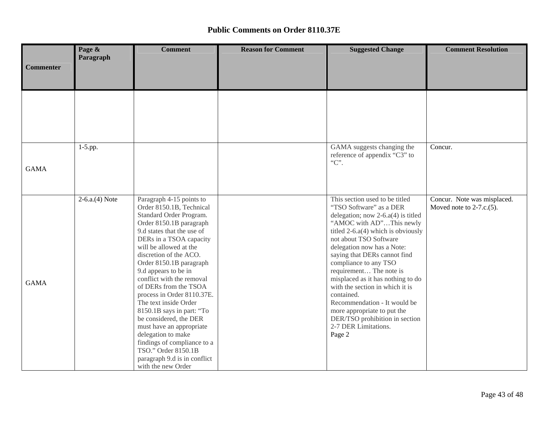|             | Page &<br>Paragraph | <b>Comment</b>                                                                                                                                                                                                                                                                                                                                                                                                                                                                                                                                                                                               | <b>Reason for Comment</b> | <b>Suggested Change</b>                                                                                                                                                                                                                                                                                                                                                                                                                                                                                                                    | <b>Comment Resolution</b>                                  |
|-------------|---------------------|--------------------------------------------------------------------------------------------------------------------------------------------------------------------------------------------------------------------------------------------------------------------------------------------------------------------------------------------------------------------------------------------------------------------------------------------------------------------------------------------------------------------------------------------------------------------------------------------------------------|---------------------------|--------------------------------------------------------------------------------------------------------------------------------------------------------------------------------------------------------------------------------------------------------------------------------------------------------------------------------------------------------------------------------------------------------------------------------------------------------------------------------------------------------------------------------------------|------------------------------------------------------------|
| Commenter   |                     |                                                                                                                                                                                                                                                                                                                                                                                                                                                                                                                                                                                                              |                           |                                                                                                                                                                                                                                                                                                                                                                                                                                                                                                                                            |                                                            |
|             |                     |                                                                                                                                                                                                                                                                                                                                                                                                                                                                                                                                                                                                              |                           |                                                                                                                                                                                                                                                                                                                                                                                                                                                                                                                                            |                                                            |
| <b>GAMA</b> | $1-5$ .pp.          |                                                                                                                                                                                                                                                                                                                                                                                                                                                                                                                                                                                                              |                           | GAMA suggests changing the<br>reference of appendix "C3" to<br>" $C$ ".                                                                                                                                                                                                                                                                                                                                                                                                                                                                    | Concur.                                                    |
| <b>GAMA</b> | $2-6.a.(4) Note$    | Paragraph 4-15 points to<br>Order 8150.1B, Technical<br>Standard Order Program.<br>Order 8150.1B paragraph<br>9.d states that the use of<br>DERs in a TSOA capacity<br>will be allowed at the<br>discretion of the ACO.<br>Order 8150.1B paragraph<br>9.d appears to be in<br>conflict with the removal<br>of DERs from the TSOA<br>process in Order 8110.37E.<br>The text inside Order<br>8150.1B says in part: "To<br>be considered, the DER<br>must have an appropriate<br>delegation to make<br>findings of compliance to a<br>TSO." Order 8150.1B<br>paragraph 9.d is in conflict<br>with the new Order |                           | This section used to be titled<br>"TSO Software" as a DER<br>delegation; now $2-6.a(4)$ is titled<br>"AMOC with AD"This newly<br>titled $2-6.a(4)$ which is obviously<br>not about TSO Software<br>delegation now has a Note:<br>saying that DERs cannot find<br>compliance to any TSO<br>requirement The note is<br>misplaced as it has nothing to do<br>with the section in which it is<br>contained.<br>Recommendation - It would be<br>more appropriate to put the<br>DER/TSO prohibition in section<br>2-7 DER Limitations.<br>Page 2 | Concur. Note was misplaced.<br>Moved note to $2-7.c.(5)$ . |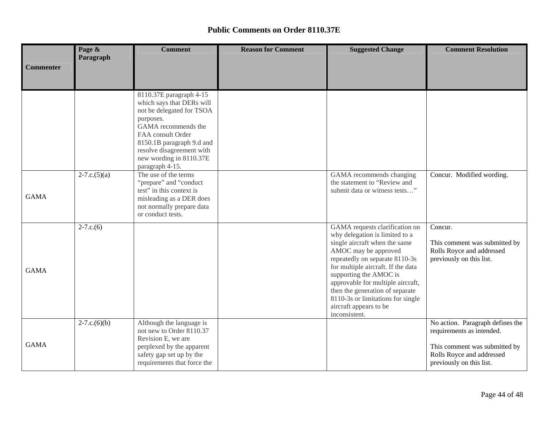|                  | Page &<br>Paragraph          | <b>Comment</b>                                                                                                                                                                                                                                     | <b>Reason for Comment</b> | <b>Suggested Change</b>                                                                                                                                                                                                                                                                                                                                                             | <b>Comment Resolution</b>                                                                                                                               |
|------------------|------------------------------|----------------------------------------------------------------------------------------------------------------------------------------------------------------------------------------------------------------------------------------------------|---------------------------|-------------------------------------------------------------------------------------------------------------------------------------------------------------------------------------------------------------------------------------------------------------------------------------------------------------------------------------------------------------------------------------|---------------------------------------------------------------------------------------------------------------------------------------------------------|
| <b>Commenter</b> |                              |                                                                                                                                                                                                                                                    |                           |                                                                                                                                                                                                                                                                                                                                                                                     |                                                                                                                                                         |
|                  |                              | 8110.37E paragraph 4-15<br>which says that DERs will<br>not be delegated for TSOA<br>purposes.<br>GAMA recommends the<br>FAA consult Order<br>8150.1B paragraph 9.d and<br>resolve disagreement with<br>new wording in 8110.37E<br>paragraph 4-15. |                           |                                                                                                                                                                                                                                                                                                                                                                                     |                                                                                                                                                         |
| <b>GAMA</b>      | $2 - 7 \cdot c \cdot (5)(a)$ | The use of the terms<br>"prepare" and "conduct<br>test" in this context is<br>misleading as a DER does<br>not normally prepare data<br>or conduct tests.                                                                                           |                           | GAMA recommends changing<br>the statement to "Review and<br>submit data or witness tests"                                                                                                                                                                                                                                                                                           | Concur. Modified wording.                                                                                                                               |
| <b>GAMA</b>      | $2 - 7.c.(6)$                |                                                                                                                                                                                                                                                    |                           | GAMA requests clarification on<br>why delegation is limited to a<br>single aircraft when the same<br>AMOC may be approved<br>repeatedly on separate 8110-3s<br>for multiple aircraft. If the data<br>supporting the AMOC is<br>approvable for multiple aircraft,<br>then the generation of separate<br>8110-3s or limitations for single<br>aircraft appears to be<br>inconsistent. | Concur.<br>This comment was submitted by<br>Rolls Royce and addressed<br>previously on this list.                                                       |
| <b>GAMA</b>      | $2 - 7.c.(6)(b)$             | Although the language is<br>not new to Order 8110.37<br>Revision E, we are<br>perplexed by the apparent<br>safety gap set up by the<br>requirements that force the                                                                                 |                           |                                                                                                                                                                                                                                                                                                                                                                                     | No action. Paragraph defines the<br>requirements as intended.<br>This comment was submitted by<br>Rolls Royce and addressed<br>previously on this list. |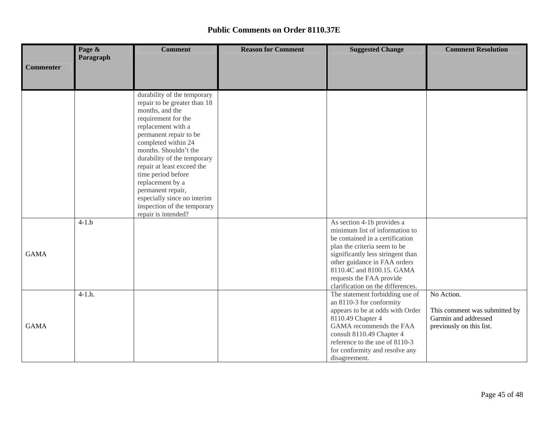|                  | Page &    | <b>Comment</b>                                                                                                                                                                                                                                                                                                                                                                                  | <b>Reason for Comment</b> | <b>Suggested Change</b>                                                                                                                                                                                                                                                                            | <b>Comment Resolution</b>                                                                       |
|------------------|-----------|-------------------------------------------------------------------------------------------------------------------------------------------------------------------------------------------------------------------------------------------------------------------------------------------------------------------------------------------------------------------------------------------------|---------------------------|----------------------------------------------------------------------------------------------------------------------------------------------------------------------------------------------------------------------------------------------------------------------------------------------------|-------------------------------------------------------------------------------------------------|
| <b>Commenter</b> | Paragraph |                                                                                                                                                                                                                                                                                                                                                                                                 |                           |                                                                                                                                                                                                                                                                                                    |                                                                                                 |
|                  |           |                                                                                                                                                                                                                                                                                                                                                                                                 |                           |                                                                                                                                                                                                                                                                                                    |                                                                                                 |
|                  |           |                                                                                                                                                                                                                                                                                                                                                                                                 |                           |                                                                                                                                                                                                                                                                                                    |                                                                                                 |
|                  |           | durability of the temporary<br>repair to be greater than 18<br>months, and the<br>requirement for the<br>replacement with a<br>permanent repair to be<br>completed within 24<br>months. Shouldn't the<br>durability of the temporary<br>repair at least exceed the<br>time period before<br>replacement by a<br>permanent repair,<br>especially since no interim<br>inspection of the temporary |                           |                                                                                                                                                                                                                                                                                                    |                                                                                                 |
|                  |           | repair is intended?                                                                                                                                                                                                                                                                                                                                                                             |                           |                                                                                                                                                                                                                                                                                                    |                                                                                                 |
| <b>GAMA</b>      | $4-1.b$   |                                                                                                                                                                                                                                                                                                                                                                                                 |                           | As section 4-1b provides a<br>minimum list of information to<br>be contained in a certification<br>plan the criteria seem to be<br>significantly less stringent than<br>other guidance in FAA orders<br>8110.4C and 8100.15. GAMA<br>requests the FAA provide<br>clarification on the differences. |                                                                                                 |
| <b>GAMA</b>      | $4-1.h.$  |                                                                                                                                                                                                                                                                                                                                                                                                 |                           | The statement forbidding use of<br>an 8110-3 for conformity<br>appears to be at odds with Order<br>8110.49 Chapter 4<br>GAMA recommends the FAA<br>consult 8110.49 Chapter 4<br>reference to the use of 8110-3<br>for conformity and resolve any<br>disagreement.                                  | No Action.<br>This comment was submitted by<br>Garmin and addressed<br>previously on this list. |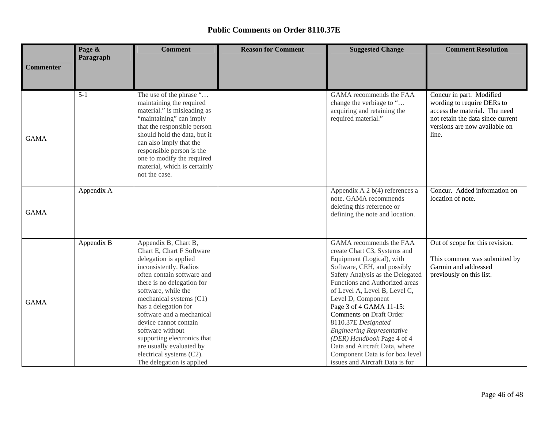|                  | Page &     | <b>Comment</b>                                                                                                                                                                                                                                                                                                                                                                                                                           | <b>Reason for Comment</b> | <b>Suggested Change</b>                                                                                                                                                                                                                                                                                                                                                                                                                                                                                 | <b>Comment Resolution</b>                                                                                                                                              |
|------------------|------------|------------------------------------------------------------------------------------------------------------------------------------------------------------------------------------------------------------------------------------------------------------------------------------------------------------------------------------------------------------------------------------------------------------------------------------------|---------------------------|---------------------------------------------------------------------------------------------------------------------------------------------------------------------------------------------------------------------------------------------------------------------------------------------------------------------------------------------------------------------------------------------------------------------------------------------------------------------------------------------------------|------------------------------------------------------------------------------------------------------------------------------------------------------------------------|
| <b>Commenter</b> | Paragraph  |                                                                                                                                                                                                                                                                                                                                                                                                                                          |                           |                                                                                                                                                                                                                                                                                                                                                                                                                                                                                                         |                                                                                                                                                                        |
| <b>GAMA</b>      | $5 - 1$    | The use of the phrase "<br>maintaining the required<br>material." is misleading as<br>"maintaining" can imply<br>that the responsible person<br>should hold the data, but it<br>can also imply that the<br>responsible person is the<br>one to modify the required<br>material, which is certainly<br>not the case.                                                                                                                      |                           | GAMA recommends the FAA<br>change the verbiage to "<br>acquiring and retaining the<br>required material."                                                                                                                                                                                                                                                                                                                                                                                               | Concur in part. Modified<br>wording to require DERs to<br>access the material. The need<br>not retain the data since current<br>versions are now available on<br>line. |
| <b>GAMA</b>      | Appendix A |                                                                                                                                                                                                                                                                                                                                                                                                                                          |                           | Appendix A 2 b(4) references a<br>note. GAMA recommends<br>deleting this reference or<br>defining the note and location.                                                                                                                                                                                                                                                                                                                                                                                | Concur. Added information on<br>location of note.                                                                                                                      |
| <b>GAMA</b>      | Appendix B | Appendix B, Chart B,<br>Chart E, Chart F Software<br>delegation is applied<br>inconsistently. Radios<br>often contain software and<br>there is no delegation for<br>software, while the<br>mechanical systems (C1)<br>has a delegation for<br>software and a mechanical<br>device cannot contain<br>software without<br>supporting electronics that<br>are usually evaluated by<br>electrical systems (C2).<br>The delegation is applied |                           | GAMA recommends the FAA<br>create Chart C3, Systems and<br>Equipment (Logical), with<br>Software, CEH, and possibly<br>Safety Analysis as the Delegated<br>Functions and Authorized areas<br>of Level A, Level B, Level C,<br>Level D, Component<br>Page 3 of 4 GAMA 11-15:<br>Comments on Draft Order<br>8110.37E Designated<br><b>Engineering Representative</b><br>(DER) Handbook Page 4 of 4<br>Data and Aircraft Data, where<br>Component Data is for box level<br>issues and Aircraft Data is for | Out of scope for this revision.<br>This comment was submitted by<br>Garmin and addressed<br>previously on this list.                                                   |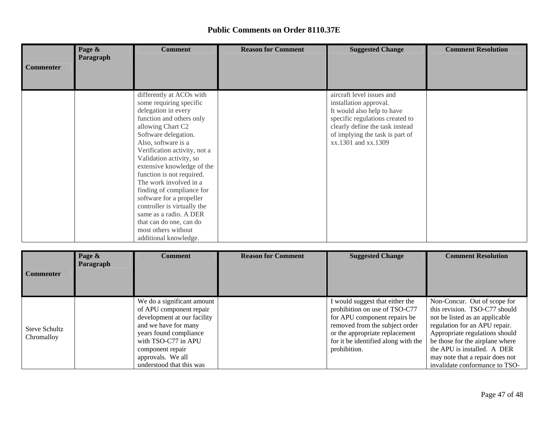|                  | Page &<br>Paragraph | <b>Comment</b>                                                                                                                                                                                                                                                                                                                                                                                                                                                                                                          | <b>Reason for Comment</b> | <b>Suggested Change</b>                                                                                                                                                                                           | <b>Comment Resolution</b> |
|------------------|---------------------|-------------------------------------------------------------------------------------------------------------------------------------------------------------------------------------------------------------------------------------------------------------------------------------------------------------------------------------------------------------------------------------------------------------------------------------------------------------------------------------------------------------------------|---------------------------|-------------------------------------------------------------------------------------------------------------------------------------------------------------------------------------------------------------------|---------------------------|
| <b>Commenter</b> |                     |                                                                                                                                                                                                                                                                                                                                                                                                                                                                                                                         |                           |                                                                                                                                                                                                                   |                           |
|                  |                     | differently at ACOs with<br>some requiring specific<br>delegation in every<br>function and others only<br>allowing Chart C2<br>Software delegation.<br>Also, software is a<br>Verification activity, not a<br>Validation activity, so<br>extensive knowledge of the<br>function is not required.<br>The work involved in a<br>finding of compliance for<br>software for a propeller<br>controller is virtually the<br>same as a radio. A DER<br>that can do one, can do<br>most others without<br>additional knowledge. |                           | aircraft level issues and<br>installation approval.<br>It would also help to have<br>specific regulations created to<br>clearly define the task instead<br>of implying the task is part of<br>xx.1301 and xx.1309 |                           |

| <b>Commenter</b>                   | Page &<br>Paragraph | <b>Comment</b>                                                                                                                                                                                                                     | <b>Reason for Comment</b> | <b>Suggested Change</b>                                                                                                                                                                                                     | <b>Comment Resolution</b>                                                                                                                                                                                                                                                                                 |
|------------------------------------|---------------------|------------------------------------------------------------------------------------------------------------------------------------------------------------------------------------------------------------------------------------|---------------------------|-----------------------------------------------------------------------------------------------------------------------------------------------------------------------------------------------------------------------------|-----------------------------------------------------------------------------------------------------------------------------------------------------------------------------------------------------------------------------------------------------------------------------------------------------------|
| <b>Steve Schultz</b><br>Chromalloy |                     | We do a significant amount<br>of APU component repair<br>development at our facility<br>and we have for many<br>years found compliance<br>with TSO-C77 in APU<br>component repair<br>approvals. We all<br>understood that this was |                           | I would suggest that either the<br>prohibition on use of TSO-C77<br>for APU component repairs be<br>removed from the subject order<br>or the appropriate replacement<br>for it be identified along with the<br>prohibition. | Non-Concur. Out of scope for<br>this revision. TSO-C77 should<br>not be listed as an applicable<br>regulation for an APU repair.<br>Appropriate regulations should<br>be those for the airplane where<br>the APU is installed. A DER<br>may note that a repair does not<br>invalidate conformance to TSO- |